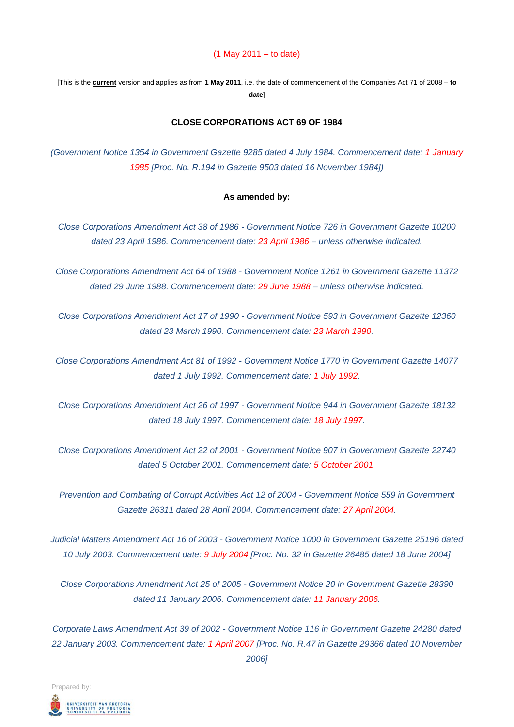#### (1 May 2011 – to date)

[This is the **current** version and applies as from **1 May 2011**, i.e. the date of commencement of the Companies Act 71 of 2008 – **to date**]

#### **CLOSE CORPORATIONS ACT 69 OF 1984**

*(Government Notice 1354 in Government Gazette 9285 dated 4 July 1984. Commencement date: 1 January 1985 [Proc. No. R.194 in Gazette 9503 dated 16 November 1984])*

#### **As amended by:**

*Close Corporations Amendment Act 38 of 1986 - Government Notice 726 in Government Gazette 10200 dated 23 April 1986. Commencement date: 23 April 1986 – unless otherwise indicated.*

*Close Corporations Amendment Act 64 of 1988 - Government Notice 1261 in Government Gazette 11372 dated 29 June 1988. Commencement date: 29 June 1988 – unless otherwise indicated.*

*Close Corporations Amendment Act 17 of 1990 - Government Notice 593 in Government Gazette 12360 dated 23 March 1990. Commencement date: 23 March 1990.* 

*Close Corporations Amendment Act 81 of 1992 - Government Notice 1770 in Government Gazette 14077 dated 1 July 1992. Commencement date: 1 July 1992.* 

*Close Corporations Amendment Act 26 of 1997 - Government Notice 944 in Government Gazette 18132 dated 18 July 1997. Commencement date: 18 July 1997.* 

*Close Corporations Amendment Act 22 of 2001 - Government Notice 907 in Government Gazette 22740 dated 5 October 2001. Commencement date: 5 October 2001.* 

*Prevention and Combating of Corrupt Activities Act 12 of 2004 - Government Notice 559 in Government Gazette 26311 dated 28 April 2004. Commencement date: 27 April 2004.*

*Judicial Matters Amendment Act 16 of 2003 - Government Notice 1000 in Government Gazette 25196 dated 10 July 2003. Commencement date: 9 July 2004 [Proc. No. 32 in Gazette 26485 dated 18 June 2004]*

*Close Corporations Amendment Act 25 of 2005 - Government Notice 20 in Government Gazette 28390 dated 11 January 2006. Commencement date: 11 January 2006.*

*Corporate Laws Amendment Act 39 of 2002 - Government Notice 116 in Government Gazette 24280 dated 22 January 2003. Commencement date: 1 April 2007 [Proc. No. R.47 in Gazette 29366 dated 10 November 2006]*

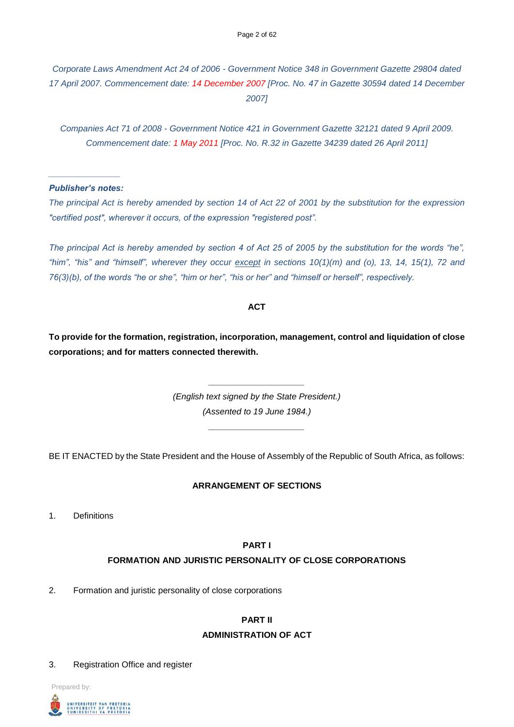*Corporate Laws Amendment Act 24 of 2006 - Government Notice 348 in Government Gazette 29804 dated 17 April 2007. Commencement date: 14 December 2007 [Proc. No. 47 in Gazette 30594 dated 14 December 2007]*

*Companies Act 71 of 2008 - Government Notice 421 in Government Gazette 32121 dated 9 April 2009. Commencement date: 1 May 2011 [Proc. No. R.32 in Gazette 34239 dated 26 April 2011]*

## *\_\_\_\_\_\_\_\_\_\_\_\_\_\_\_ Publisher's notes:*

*The principal Act is hereby amended by section 14 of Act 22 of 2001 by the substitution for the expression "certified post", wherever it occurs, of the expression "registered post".*

*The principal Act is hereby amended by section 4 of Act 25 of 2005 by the substitution for the words "he", "him", "his" and "himself", wherever they occur except in sections 10(1)(m) and (o), 13, 14, 15(1), 72 and 76(3)(b), of the words "he or she", "him or her", "his or her" and "himself or herself", respectively.*

## **ACT**

**To provide for the formation, registration, incorporation, management, control and liquidation of close corporations; and for matters connected therewith.** 

> *(English text signed by the State President.) (Assented to 19 June 1984.)*

*\_\_\_\_\_\_\_\_\_\_\_\_\_\_\_\_\_\_\_\_*

BE IT ENACTED by the State President and the House of Assembly of the Republic of South Africa, as follows:

*\_\_\_\_\_\_\_\_\_\_\_\_\_\_\_\_\_\_\_\_*

## **ARRANGEMENT OF SECTIONS**

1. Definitions

#### **PART I**

#### **FORMATION AND JURISTIC PERSONALITY OF CLOSE CORPORATIONS**

2. Formation and juristic personality of close corporations

# **PART II ADMINISTRATION OF ACT**

## 3. Registration Office and register

Prepared by:

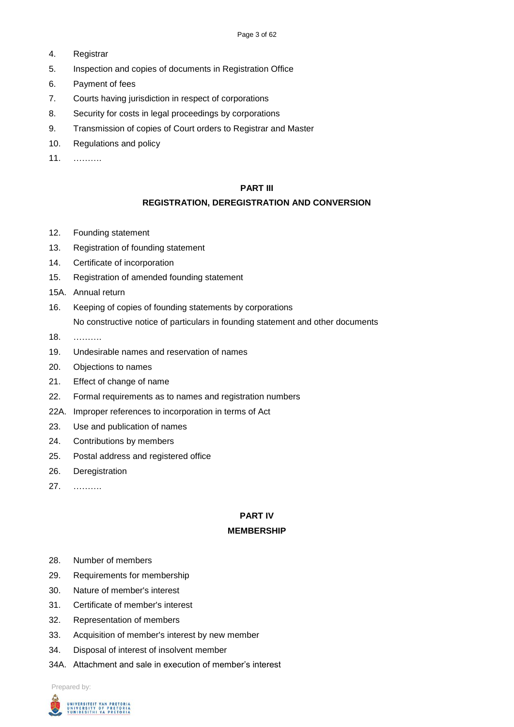- 4. Registrar
- 5. Inspection and copies of documents in Registration Office
- 6. Payment of fees
- 7. Courts having jurisdiction in respect of corporations
- 8. Security for costs in legal proceedings by corporations
- 9. Transmission of copies of Court orders to Registrar and Master
- 10. Regulations and policy
- 11. ……….

## **PART III**

## **REGISTRATION, DEREGISTRATION AND CONVERSION**

- 12. Founding statement
- 13. Registration of founding statement
- 14. Certificate of incorporation
- 15. Registration of amended founding statement
- 15A. Annual return
- 16. Keeping of copies of founding statements by corporations No constructive notice of particulars in founding statement and other documents
- 18. ……….
- 19. Undesirable names and reservation of names
- 20. Objections to names
- 21. Effect of change of name
- 22. Formal requirements as to names and registration numbers
- 22A. Improper references to incorporation in terms of Act
- 23. Use and publication of names
- 24. Contributions by members
- 25. Postal address and registered office
- 26. Deregistration
- 27. ……….

## **PART IV**

#### **MEMBERSHIP**

- 28. Number of members
- 29. Requirements for membership
- 30. Nature of member's interest
- 31. Certificate of member's interest
- 32. Representation of members
- 33. Acquisition of member's interest by new member
- 34. Disposal of interest of insolvent member
- 34A. Attachment and sale in execution of member's interest

Prepared by:

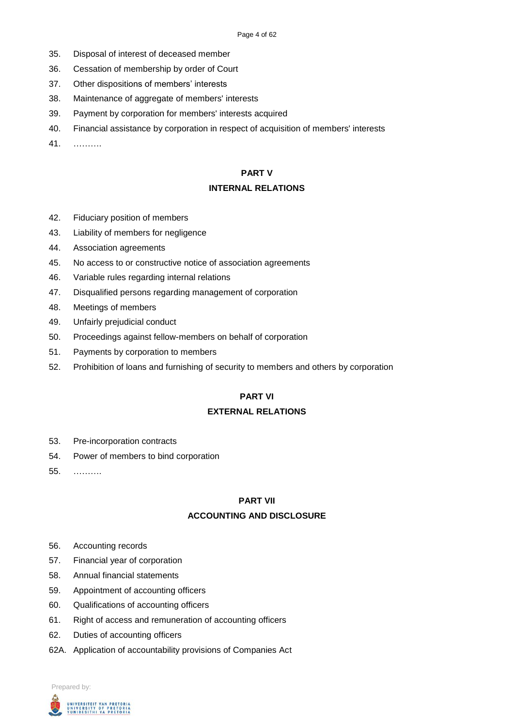- 35. Disposal of interest of deceased member
- 36. Cessation of membership by order of Court
- 37. Other dispositions of members' interests
- 38. Maintenance of aggregate of members' interests
- 39. Payment by corporation for members' interests acquired
- 40. Financial assistance by corporation in respect of acquisition of members' interests
- 41. ……….

## **PART V**

## **INTERNAL RELATIONS**

- 42. Fiduciary position of members
- 43. Liability of members for negligence
- 44. Association agreements
- 45. No access to or constructive notice of association agreements
- 46. Variable rules regarding internal relations
- 47. Disqualified persons regarding management of corporation
- 48. Meetings of members
- 49. Unfairly prejudicial conduct
- 50. Proceedings against fellow-members on behalf of corporation
- 51. Payments by corporation to members
- 52. Prohibition of loans and furnishing of security to members and others by corporation

## **PART VI**

### **EXTERNAL RELATIONS**

- 53. Pre-incorporation contracts
- 54. Power of members to bind corporation
- 55. ……….

# **PART VII ACCOUNTING AND DISCLOSURE**

- 56. Accounting records
- 57. Financial year of corporation
- 58. Annual financial statements
- 59. Appointment of accounting officers
- 60. Qualifications of accounting officers
- 61. Right of access and remuneration of accounting officers
- 62. Duties of accounting officers
- 62A. Application of accountability provisions of Companies Act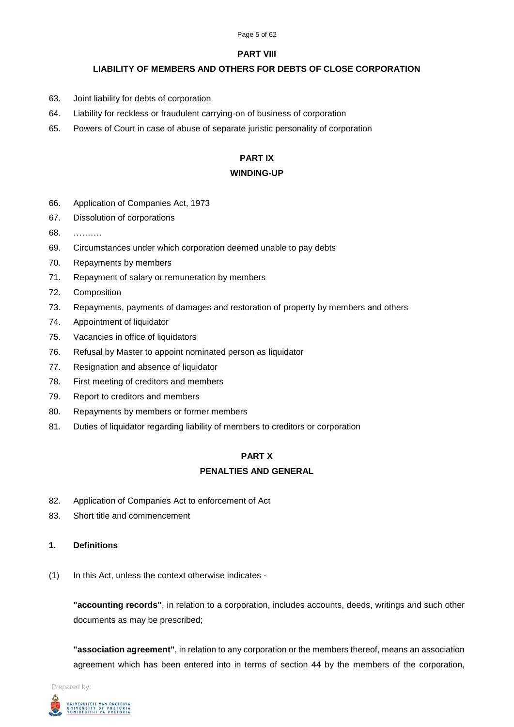#### Page 5 of 62

## **PART VIII**

## **LIABILITY OF MEMBERS AND OTHERS FOR DEBTS OF CLOSE CORPORATION**

- 63. Joint liability for debts of corporation
- 64. Liability for reckless or fraudulent carrying-on of business of corporation
- 65. Powers of Court in case of abuse of separate juristic personality of corporation

## **PART IX**

## **WINDING-UP**

- 66. Application of Companies Act, 1973
- 67. Dissolution of corporations
- 68. ……….
- 69. Circumstances under which corporation deemed unable to pay debts
- 70. Repayments by members
- 71. Repayment of salary or remuneration by members
- 72. Composition
- 73. Repayments, payments of damages and restoration of property by members and others
- 74. Appointment of liquidator
- 75. Vacancies in office of liquidators
- 76. Refusal by Master to appoint nominated person as liquidator
- 77. Resignation and absence of liquidator
- 78. First meeting of creditors and members
- 79. Report to creditors and members
- 80. Repayments by members or former members
- 81. Duties of liquidator regarding liability of members to creditors or corporation

## **PART X**

## **PENALTIES AND GENERAL**

- 82. Application of Companies Act to enforcement of Act
- 83. Short title and commencement
- **1. Definitions**
- (1) In this Act, unless the context otherwise indicates -

**"accounting records"**, in relation to a corporation, includes accounts, deeds, writings and such other documents as may be prescribed;

**"association agreement"**, in relation to any corporation or the members thereof, means an association agreement which has been entered into in terms of section 44 by the members of the corporation,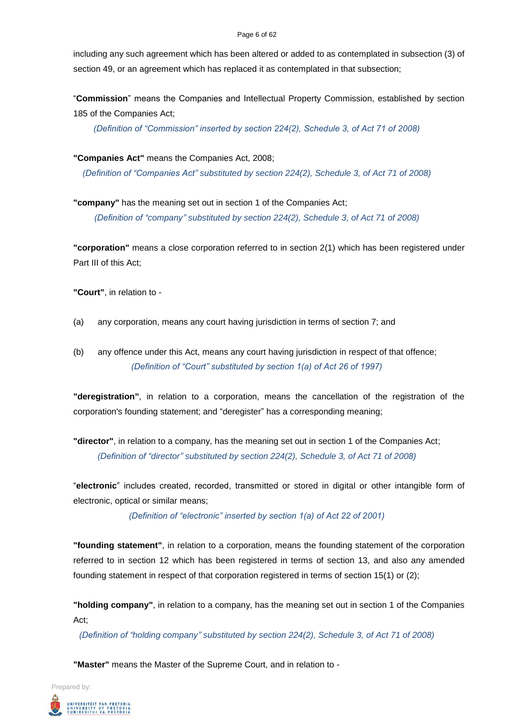#### Page 6 of 62

including any such agreement which has been altered or added to as contemplated in subsection (3) of section 49, or an agreement which has replaced it as contemplated in that subsection;

"**Commission**" means the Companies and Intellectual Property Commission, established by section 185 of the Companies Act;

*(Definition of "Commission" inserted by section 224(2), Schedule 3, of Act 71 of 2008)*

**"Companies Act"** means the Companies Act, 2008;

*(Definition of "Companies Act" substituted by section 224(2), Schedule 3, of Act 71 of 2008)*

**"company"** has the meaning set out in section 1 of the Companies Act; *(Definition of "company" substituted by section 224(2), Schedule 3, of Act 71 of 2008)*

**"corporation"** means a close corporation referred to in section 2(1) which has been registered under Part III of this Act;

**"Court"**, in relation to -

- (a) any corporation, means any court having jurisdiction in terms of section 7; and
- (b) any offence under this Act, means any court having jurisdiction in respect of that offence; *(Definition of "Court" substituted by section 1(a) of Act 26 of 1997)*

**"deregistration"**, in relation to a corporation, means the cancellation of the registration of the corporation's founding statement; and "deregister" has a corresponding meaning;

**"director"**, in relation to a company, has the meaning set out in section 1 of the Companies Act; *(Definition of "director" substituted by section 224(2), Schedule 3, of Act 71 of 2008)*

"**electronic**" includes created, recorded, transmitted or stored in digital or other intangible form of electronic, optical or similar means;

*(Definition of "electronic" inserted by section 1(a) of Act 22 of 2001)*

**"founding statement"**, in relation to a corporation, means the founding statement of the corporation referred to in section 12 which has been registered in terms of section 13, and also any amended founding statement in respect of that corporation registered in terms of section 15(1) or (2);

**"holding company"**, in relation to a company, has the meaning set out in section 1 of the Companies Act;

*(Definition of "holding company" substituted by section 224(2), Schedule 3, of Act 71 of 2008)*

**"Master"** means the Master of the Supreme Court, and in relation to -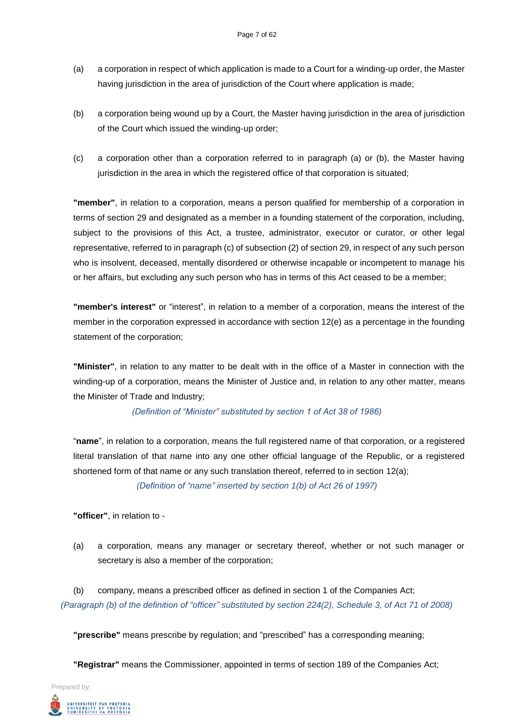- (a) a corporation in respect of which application is made to a Court for a winding-up order, the Master having jurisdiction in the area of jurisdiction of the Court where application is made;
- (b) a corporation being wound up by a Court, the Master having jurisdiction in the area of jurisdiction of the Court which issued the winding-up order;
- (c) a corporation other than a corporation referred to in paragraph (a) or (b), the Master having jurisdiction in the area in which the registered office of that corporation is situated;

**"member"**, in relation to a corporation, means a person qualified for membership of a corporation in terms of section 29 and designated as a member in a founding statement of the corporation, including, subject to the provisions of this Act, a trustee, administrator, executor or curator, or other legal representative, referred to in paragraph (c) of subsection (2) of section 29, in respect of any such person who is insolvent, deceased, mentally disordered or otherwise incapable or incompetent to manage his or her affairs, but excluding any such person who has in terms of this Act ceased to be a member;

**"member's interest"** or "interest", in relation to a member of a corporation, means the interest of the member in the corporation expressed in accordance with section 12(e) as a percentage in the founding statement of the corporation;

**"Minister"**, in relation to any matter to be dealt with in the office of a Master in connection with the winding-up of a corporation, means the Minister of Justice and, in relation to any other matter, means the Minister of Trade and Industry;

*(Definition of "Minister" substituted by section 1 of Act 38 of 1986)*

"**name**", in relation to a corporation, means the full registered name of that corporation, or a registered literal translation of that name into any one other official language of the Republic, or a registered shortened form of that name or any such translation thereof, referred to in section 12(a);

*(Definition of "name" inserted by section 1(b) of Act 26 of 1997)*

**"officer"**, in relation to -

(a) a corporation, means any manager or secretary thereof, whether or not such manager or secretary is also a member of the corporation;

(b) company, means a prescribed officer as defined in section 1 of the Companies Act; *(Paragraph (b) of the definition of "officer" substituted by section 224(2), Schedule 3, of Act 71 of 2008)*

**"prescribe"** means prescribe by regulation; and "prescribed" has a corresponding meaning;

**"Registrar"** means the Commissioner, appointed in terms of section 189 of the Companies Act;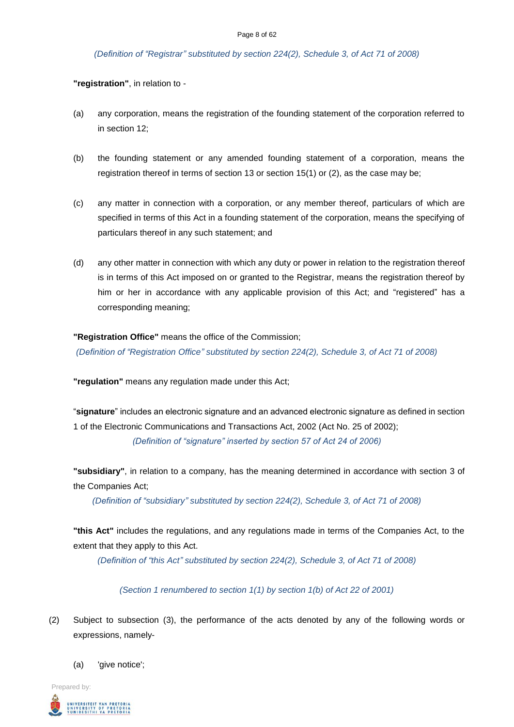#### *(Definition of "Registrar" substituted by section 224(2), Schedule 3, of Act 71 of 2008)*

**"registration"**, in relation to -

- (a) any corporation, means the registration of the founding statement of the corporation referred to in section 12;
- (b) the founding statement or any amended founding statement of a corporation, means the registration thereof in terms of section 13 or section 15(1) or (2), as the case may be;
- (c) any matter in connection with a corporation, or any member thereof, particulars of which are specified in terms of this Act in a founding statement of the corporation, means the specifying of particulars thereof in any such statement; and
- (d) any other matter in connection with which any duty or power in relation to the registration thereof is in terms of this Act imposed on or granted to the Registrar, means the registration thereof by him or her in accordance with any applicable provision of this Act; and "registered" has a corresponding meaning;

#### **"Registration Office"** means the office of the Commission;

*(Definition of "Registration Office" substituted by section 224(2), Schedule 3, of Act 71 of 2008)*

**"regulation"** means any regulation made under this Act;

"**signature**" includes an electronic signature and an advanced electronic signature as defined in section 1 of the Electronic Communications and Transactions Act, 2002 (Act No. 25 of 2002); *(Definition of "signature" inserted by section 57 of Act 24 of 2006)*

**"subsidiary"**, in relation to a company, has the meaning determined in accordance with section 3 of the Companies Act;

*(Definition of "subsidiary" substituted by section 224(2), Schedule 3, of Act 71 of 2008)*

**"this Act"** includes the regulations, and any regulations made in terms of the Companies Act, to the extent that they apply to this Act.

*(Definition of "this Act" substituted by section 224(2), Schedule 3, of Act 71 of 2008)*

*(Section 1 renumbered to section 1(1) by section 1(b) of Act 22 of 2001)*

- (2) Subject to subsection (3), the performance of the acts denoted by any of the following words or expressions, namely-
	- (a) 'give notice';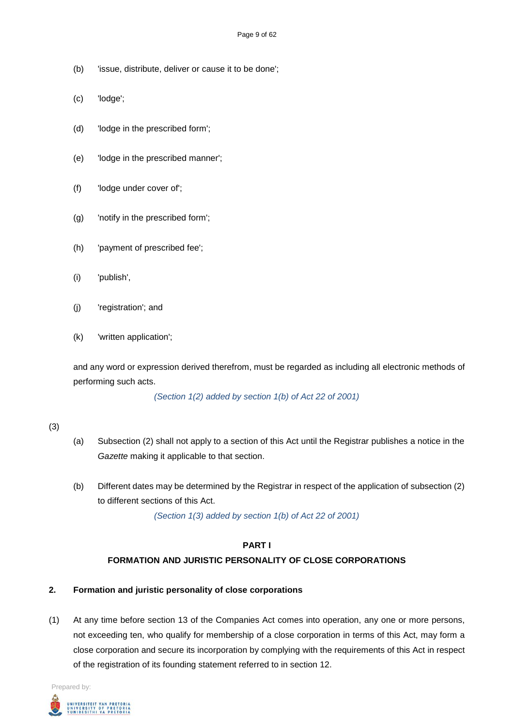- (b) 'issue, distribute, deliver or cause it to be done';
- (c) 'lodge';
- (d) 'lodge in the prescribed form';
- (e) 'lodge in the prescribed manner';
- (f) 'lodge under cover of';
- (g) 'notify in the prescribed form';
- (h) 'payment of prescribed fee';
- (i) 'publish',
- (j) 'registration'; and
- (k) 'written application';

and any word or expression derived therefrom, must be regarded as including all electronic methods of performing such acts.

*(Section 1(2) added by section 1(b) of Act 22 of 2001)*

#### (3)

- (a) Subsection (2) shall not apply to a section of this Act until the Registrar publishes a notice in the *Gazette* making it applicable to that section.
- (b) Different dates may be determined by the Registrar in respect of the application of subsection (2) to different sections of this Act.

*(Section 1(3) added by section 1(b) of Act 22 of 2001)*

# **PART I**

# **FORMATION AND JURISTIC PERSONALITY OF CLOSE CORPORATIONS**

## **2. Formation and juristic personality of close corporations**

(1) At any time before section 13 of the Companies Act comes into operation, any one or more persons, not exceeding ten, who qualify for membership of a close corporation in terms of this Act, may form a close corporation and secure its incorporation by complying with the requirements of this Act in respect of the registration of its founding statement referred to in section 12.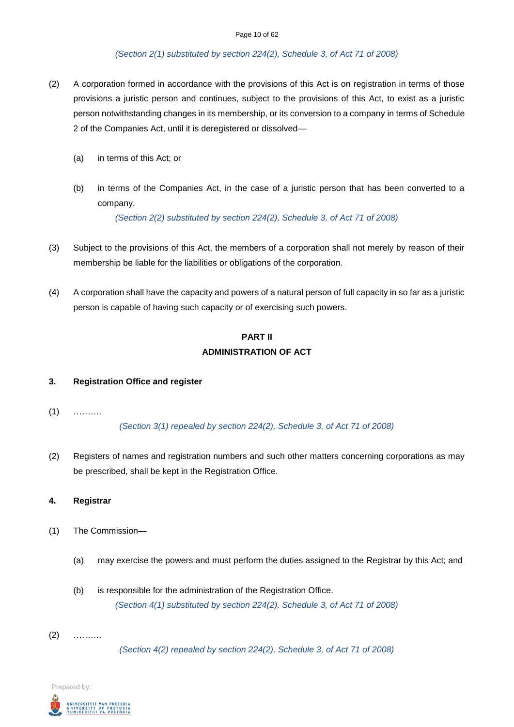#### *(Section 2(1) substituted by section 224(2), Schedule 3, of Act 71 of 2008)*

- (2) A corporation formed in accordance with the provisions of this Act is on registration in terms of those provisions a juristic person and continues, subject to the provisions of this Act, to exist as a juristic person notwithstanding changes in its membership, or its conversion to a company in terms of Schedule 2 of the Companies Act, until it is deregistered or dissolved—
	- (a) in terms of this Act; or
	- (b) in terms of the Companies Act, in the case of a juristic person that has been converted to a company.

*(Section 2(2) substituted by section 224(2), Schedule 3, of Act 71 of 2008)*

- (3) Subject to the provisions of this Act, the members of a corporation shall not merely by reason of their membership be liable for the liabilities or obligations of the corporation.
- (4) A corporation shall have the capacity and powers of a natural person of full capacity in so far as a juristic person is capable of having such capacity or of exercising such powers.

# **PART II ADMINISTRATION OF ACT**

#### **3. Registration Office and register**

 $(1)$  ………

*(Section 3(1) repealed by section 224(2), Schedule 3, of Act 71 of 2008)*

(2) Registers of names and registration numbers and such other matters concerning corporations as may be prescribed, shall be kept in the Registration Office.

#### **4. Registrar**

- (1) The Commission—
	- (a) may exercise the powers and must perform the duties assigned to the Registrar by this Act; and
	- (b) is responsible for the administration of the Registration Office. *(Section 4(1) substituted by section 224(2), Schedule 3, of Act 71 of 2008)*
- (2) ……….

*(Section 4(2) repealed by section 224(2), Schedule 3, of Act 71 of 2008)*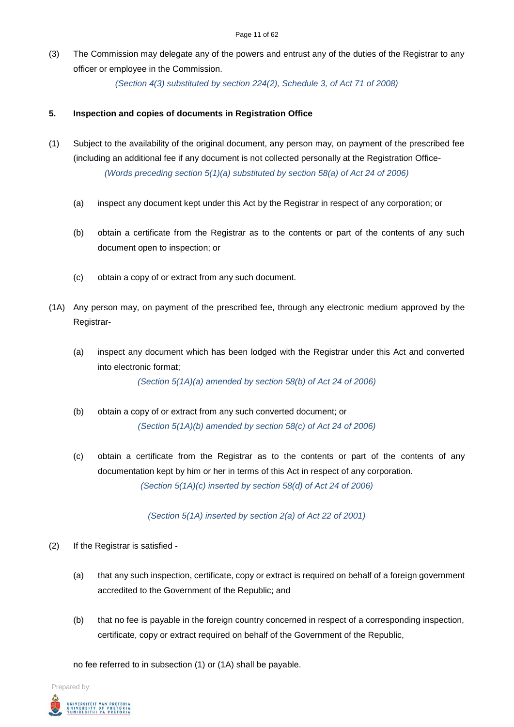(3) The Commission may delegate any of the powers and entrust any of the duties of the Registrar to any officer or employee in the Commission.

*(Section 4(3) substituted by section 224(2), Schedule 3, of Act 71 of 2008)*

### **5. Inspection and copies of documents in Registration Office**

- (1) Subject to the availability of the original document, any person may, on payment of the prescribed fee (including an additional fee if any document is not collected personally at the Registration Office- *(Words preceding section 5(1)(a) substituted by section 58(a) of Act 24 of 2006)*
	- (a) inspect any document kept under this Act by the Registrar in respect of any corporation; or
	- (b) obtain a certificate from the Registrar as to the contents or part of the contents of any such document open to inspection; or
	- (c) obtain a copy of or extract from any such document.
- (1A) Any person may, on payment of the prescribed fee, through any electronic medium approved by the Registrar-
	- (a) inspect any document which has been lodged with the Registrar under this Act and converted into electronic format;

*(Section 5(1A)(a) amended by section 58(b) of Act 24 of 2006)*

- (b) obtain a copy of or extract from any such converted document; or *(Section 5(1A)(b) amended by section 58(c) of Act 24 of 2006)*
- (c) obtain a certificate from the Registrar as to the contents or part of the contents of any documentation kept by him or her in terms of this Act in respect of any corporation. *(Section 5(1A)(c) inserted by section 58(d) of Act 24 of 2006)*

*(Section 5(1A) inserted by section 2(a) of Act 22 of 2001)*

- (2) If the Registrar is satisfied
	- (a) that any such inspection, certificate, copy or extract is required on behalf of a foreign government accredited to the Government of the Republic; and
	- (b) that no fee is payable in the foreign country concerned in respect of a corresponding inspection, certificate, copy or extract required on behalf of the Government of the Republic,

no fee referred to in subsection (1) or (1A) shall be payable.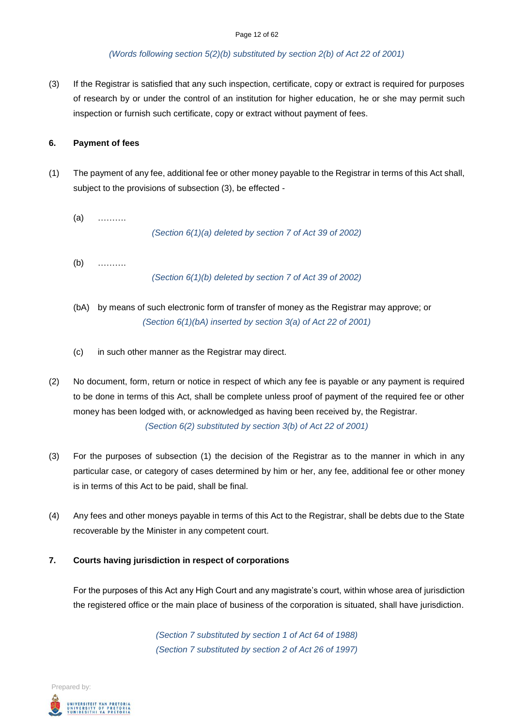#### *(Words following section 5(2)(b) substituted by section 2(b) of Act 22 of 2001)*

(3) If the Registrar is satisfied that any such inspection, certificate, copy or extract is required for purposes of research by or under the control of an institution for higher education, he or she may permit such inspection or furnish such certificate, copy or extract without payment of fees.

### **6. Payment of fees**

- (1) The payment of any fee, additional fee or other money payable to the Registrar in terms of this Act shall, subject to the provisions of subsection (3), be effected -
	- (a) ……….

*(Section 6(1)(a) deleted by section 7 of Act 39 of 2002)*

(b) ……….

*(Section 6(1)(b) deleted by section 7 of Act 39 of 2002)*

- (bA) by means of such electronic form of transfer of money as the Registrar may approve; or *(Section 6(1)(bA) inserted by section 3(a) of Act 22 of 2001)*
- (c) in such other manner as the Registrar may direct.
- (2) No document, form, return or notice in respect of which any fee is payable or any payment is required to be done in terms of this Act, shall be complete unless proof of payment of the required fee or other money has been lodged with, or acknowledged as having been received by, the Registrar. *(Section 6(2) substituted by section 3(b) of Act 22 of 2001)*
- (3) For the purposes of subsection (1) the decision of the Registrar as to the manner in which in any particular case, or category of cases determined by him or her, any fee, additional fee or other money is in terms of this Act to be paid, shall be final.
- (4) Any fees and other moneys payable in terms of this Act to the Registrar, shall be debts due to the State recoverable by the Minister in any competent court.

#### **7. Courts having jurisdiction in respect of corporations**

For the purposes of this Act any High Court and any magistrate's court, within whose area of jurisdiction the registered office or the main place of business of the corporation is situated, shall have jurisdiction.

> *(Section 7 substituted by section 1 of Act 64 of 1988) (Section 7 substituted by section 2 of Act 26 of 1997)*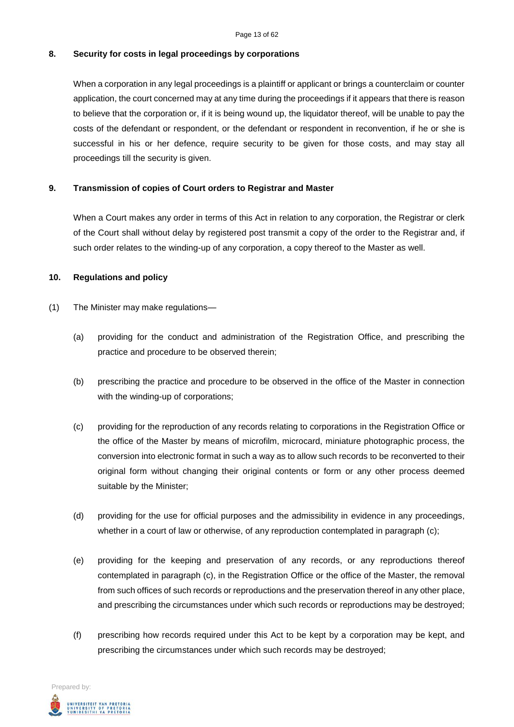#### **8. Security for costs in legal proceedings by corporations**

When a corporation in any legal proceedings is a plaintiff or applicant or brings a counterclaim or counter application, the court concerned may at any time during the proceedings if it appears that there is reason to believe that the corporation or, if it is being wound up, the liquidator thereof, will be unable to pay the costs of the defendant or respondent, or the defendant or respondent in reconvention, if he or she is successful in his or her defence, require security to be given for those costs, and may stay all proceedings till the security is given.

#### **9. Transmission of copies of Court orders to Registrar and Master**

When a Court makes any order in terms of this Act in relation to any corporation, the Registrar or clerk of the Court shall without delay by registered post transmit a copy of the order to the Registrar and, if such order relates to the winding-up of any corporation, a copy thereof to the Master as well.

#### **10. Regulations and policy**

- (1) The Minister may make regulations—
	- (a) providing for the conduct and administration of the Registration Office, and prescribing the practice and procedure to be observed therein;
	- (b) prescribing the practice and procedure to be observed in the office of the Master in connection with the winding-up of corporations;
	- (c) providing for the reproduction of any records relating to corporations in the Registration Office or the office of the Master by means of microfilm, microcard, miniature photographic process, the conversion into electronic format in such a way as to allow such records to be reconverted to their original form without changing their original contents or form or any other process deemed suitable by the Minister;
	- (d) providing for the use for official purposes and the admissibility in evidence in any proceedings, whether in a court of law or otherwise, of any reproduction contemplated in paragraph (c);
	- (e) providing for the keeping and preservation of any records, or any reproductions thereof contemplated in paragraph (c), in the Registration Office or the office of the Master, the removal from such offices of such records or reproductions and the preservation thereof in any other place, and prescribing the circumstances under which such records or reproductions may be destroyed;
	- (f) prescribing how records required under this Act to be kept by a corporation may be kept, and prescribing the circumstances under which such records may be destroyed;

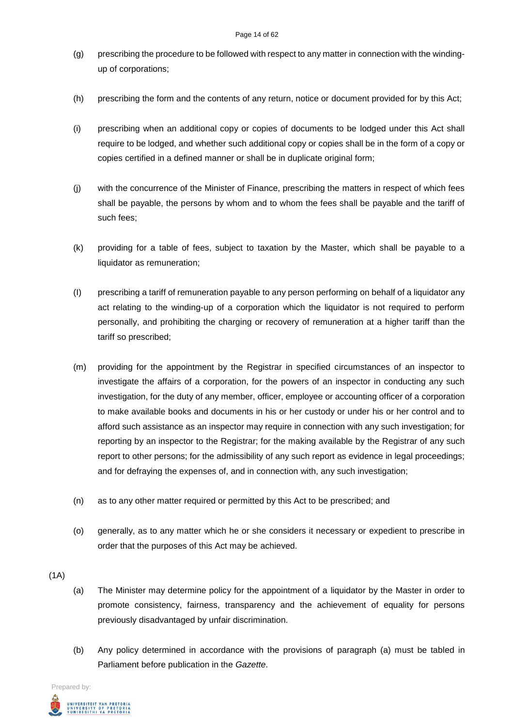- (g) prescribing the procedure to be followed with respect to any matter in connection with the windingup of corporations;
- (h) prescribing the form and the contents of any return, notice or document provided for by this Act;
- (i) prescribing when an additional copy or copies of documents to be lodged under this Act shall require to be lodged, and whether such additional copy or copies shall be in the form of a copy or copies certified in a defined manner or shall be in duplicate original form;
- (j) with the concurrence of the Minister of Finance, prescribing the matters in respect of which fees shall be payable, the persons by whom and to whom the fees shall be payable and the tariff of such fees;
- (k) providing for a table of fees, subject to taxation by the Master, which shall be payable to a liquidator as remuneration;
- (I) prescribing a tariff of remuneration payable to any person performing on behalf of a liquidator any act relating to the winding-up of a corporation which the liquidator is not required to perform personally, and prohibiting the charging or recovery of remuneration at a higher tariff than the tariff so prescribed;
- (m) providing for the appointment by the Registrar in specified circumstances of an inspector to investigate the affairs of a corporation, for the powers of an inspector in conducting any such investigation, for the duty of any member, officer, employee or accounting officer of a corporation to make available books and documents in his or her custody or under his or her control and to afford such assistance as an inspector may require in connection with any such investigation; for reporting by an inspector to the Registrar; for the making available by the Registrar of any such report to other persons; for the admissibility of any such report as evidence in legal proceedings; and for defraying the expenses of, and in connection with, any such investigation;
- (n) as to any other matter required or permitted by this Act to be prescribed; and
- (o) generally, as to any matter which he or she considers it necessary or expedient to prescribe in order that the purposes of this Act may be achieved.
- $(1A)$
- (a) The Minister may determine policy for the appointment of a liquidator by the Master in order to promote consistency, fairness, transparency and the achievement of equality for persons previously disadvantaged by unfair discrimination.
- (b) Any policy determined in accordance with the provisions of paragraph (a) must be tabled in Parliament before publication in the *Gazette*.

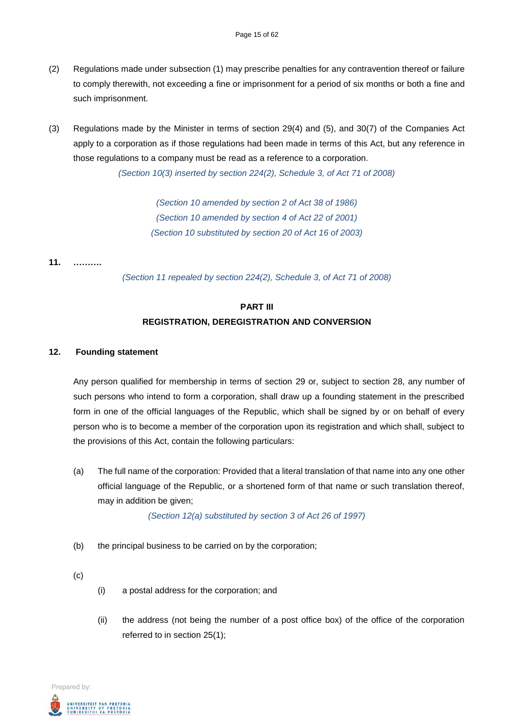- (2) Regulations made under subsection (1) may prescribe penalties for any contravention thereof or failure to comply therewith, not exceeding a fine or imprisonment for a period of six months or both a fine and such imprisonment.
- (3) Regulations made by the Minister in terms of section 29(4) and (5), and 30(7) of the Companies Act apply to a corporation as if those regulations had been made in terms of this Act, but any reference in those regulations to a company must be read as a reference to a corporation.

*(Section 10(3) inserted by section 224(2), Schedule 3, of Act 71 of 2008)*

*(Section 10 amended by section 2 of Act 38 of 1986) (Section 10 amended by section 4 of Act 22 of 2001) (Section 10 substituted by section 20 of Act 16 of 2003)*

**11. ……….**

*(Section 11 repealed by section 224(2), Schedule 3, of Act 71 of 2008)*

## **PART III**

## **REGISTRATION, DEREGISTRATION AND CONVERSION**

#### **12. Founding statement**

Any person qualified for membership in terms of section 29 or, subject to section 28, any number of such persons who intend to form a corporation, shall draw up a founding statement in the prescribed form in one of the official languages of the Republic, which shall be signed by or on behalf of every person who is to become a member of the corporation upon its registration and which shall, subject to the provisions of this Act, contain the following particulars:

(a) The full name of the corporation: Provided that a literal translation of that name into any one other official language of the Republic, or a shortened form of that name or such translation thereof, may in addition be given;

*(Section 12(a) substituted by section 3 of Act 26 of 1997)*

- (b) the principal business to be carried on by the corporation;
- (c)
- (i) a postal address for the corporation; and
- (ii) the address (not being the number of a post office box) of the office of the corporation referred to in section 25(1);

Prepared by: .<br>UNIVERSITEIT VAN PRETORIA<br>YUNIBESITHI YA PRETORIA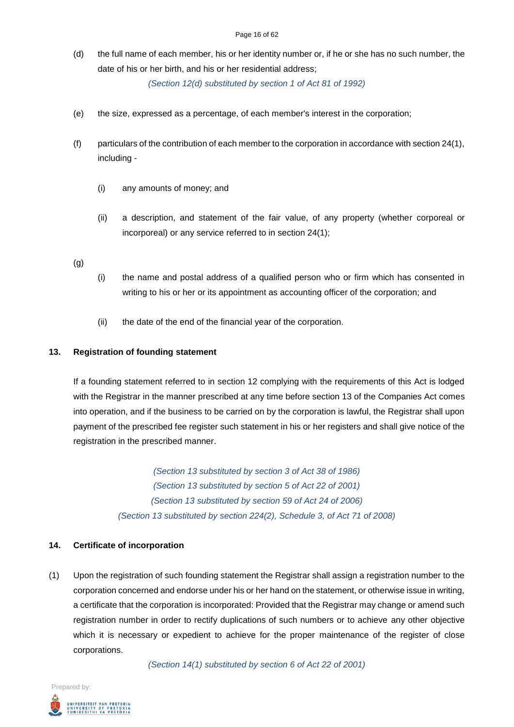(d) the full name of each member, his or her identity number or, if he or she has no such number, the date of his or her birth, and his or her residential address;

*(Section 12(d) substituted by section 1 of Act 81 of 1992)*

- (e) the size, expressed as a percentage, of each member's interest in the corporation;
- (f) particulars of the contribution of each member to the corporation in accordance with section 24(1), including -
	- (i) any amounts of money; and
	- (ii) a description, and statement of the fair value, of any property (whether corporeal or incorporeal) or any service referred to in section 24(1);

(g)

- (i) the name and postal address of a qualified person who or firm which has consented in writing to his or her or its appointment as accounting officer of the corporation; and
- (ii) the date of the end of the financial year of the corporation.

#### **13. Registration of founding statement**

If a founding statement referred to in section 12 complying with the requirements of this Act is lodged with the Registrar in the manner prescribed at any time before section 13 of the Companies Act comes into operation, and if the business to be carried on by the corporation is lawful, the Registrar shall upon payment of the prescribed fee register such statement in his or her registers and shall give notice of the registration in the prescribed manner.

> *(Section 13 substituted by section 3 of Act 38 of 1986) (Section 13 substituted by section 5 of Act 22 of 2001) (Section 13 substituted by section 59 of Act 24 of 2006) (Section 13 substituted by section 224(2), Schedule 3, of Act 71 of 2008)*

#### **14. Certificate of incorporation**

(1) Upon the registration of such founding statement the Registrar shall assign a registration number to the corporation concerned and endorse under his or her hand on the statement, or otherwise issue in writing, a certificate that the corporation is incorporated: Provided that the Registrar may change or amend such registration number in order to rectify duplications of such numbers or to achieve any other objective which it is necessary or expedient to achieve for the proper maintenance of the register of close corporations.

*(Section 14(1) substituted by section 6 of Act 22 of 2001)*

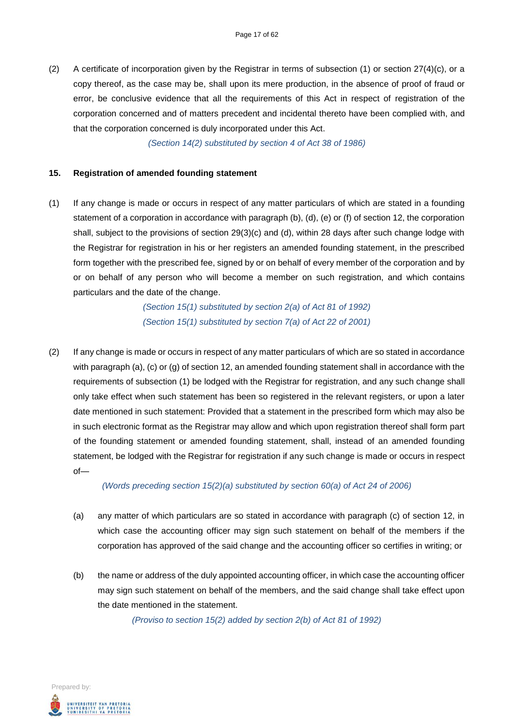(2) A certificate of incorporation given by the Registrar in terms of subsection  $(1)$  or section  $27(4)(c)$ , or a copy thereof, as the case may be, shall upon its mere production, in the absence of proof of fraud or error, be conclusive evidence that all the requirements of this Act in respect of registration of the corporation concerned and of matters precedent and incidental thereto have been complied with, and that the corporation concerned is duly incorporated under this Act.

*(Section 14(2) substituted by section 4 of Act 38 of 1986)*

#### **15. Registration of amended founding statement**

(1) If any change is made or occurs in respect of any matter particulars of which are stated in a founding statement of a corporation in accordance with paragraph (b), (d), (e) or (f) of section 12, the corporation shall, subject to the provisions of section 29(3)(c) and (d), within 28 days after such change lodge with the Registrar for registration in his or her registers an amended founding statement, in the prescribed form together with the prescribed fee, signed by or on behalf of every member of the corporation and by or on behalf of any person who will become a member on such registration, and which contains particulars and the date of the change.

> *(Section 15(1) substituted by section 2(a) of Act 81 of 1992) (Section 15(1) substituted by section 7(a) of Act 22 of 2001)*

(2) If any change is made or occurs in respect of any matter particulars of which are so stated in accordance with paragraph (a), (c) or (g) of section 12, an amended founding statement shall in accordance with the requirements of subsection (1) be lodged with the Registrar for registration, and any such change shall only take effect when such statement has been so registered in the relevant registers, or upon a later date mentioned in such statement: Provided that a statement in the prescribed form which may also be in such electronic format as the Registrar may allow and which upon registration thereof shall form part of the founding statement or amended founding statement, shall, instead of an amended founding statement, be lodged with the Registrar for registration if any such change is made or occurs in respect of—

*(Words preceding section 15(2)(a) substituted by section 60(a) of Act 24 of 2006)*

- (a) any matter of which particulars are so stated in accordance with paragraph (c) of section 12, in which case the accounting officer may sign such statement on behalf of the members if the corporation has approved of the said change and the accounting officer so certifies in writing; or
- (b) the name or address of the duly appointed accounting officer, in which case the accounting officer may sign such statement on behalf of the members, and the said change shall take effect upon the date mentioned in the statement.

*(Proviso to section 15(2) added by section 2(b) of Act 81 of 1992)*

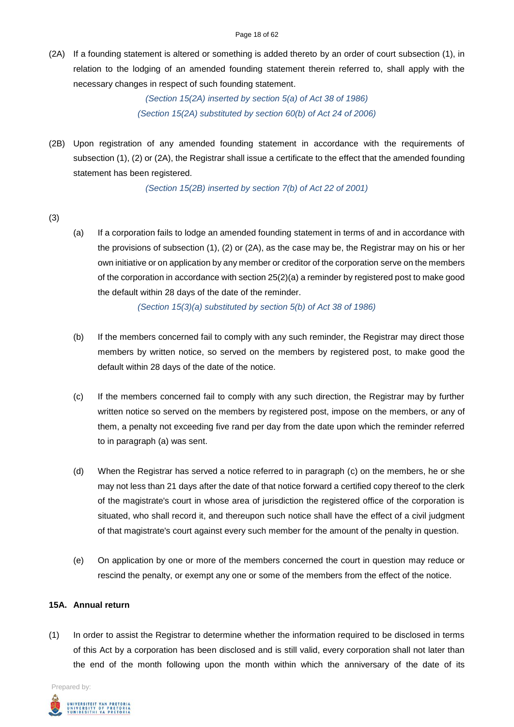(2A) If a founding statement is altered or something is added thereto by an order of court subsection (1), in relation to the lodging of an amended founding statement therein referred to, shall apply with the necessary changes in respect of such founding statement.

> *(Section 15(2A) inserted by section 5(a) of Act 38 of 1986) (Section 15(2A) substituted by section 60(b) of Act 24 of 2006)*

(2B) Upon registration of any amended founding statement in accordance with the requirements of subsection (1), (2) or (2A), the Registrar shall issue a certificate to the effect that the amended founding statement has been registered.

*(Section 15(2B) inserted by section 7(b) of Act 22 of 2001)*

- (3)
- (a) If a corporation fails to lodge an amended founding statement in terms of and in accordance with the provisions of subsection (1), (2) or (2A), as the case may be, the Registrar may on his or her own initiative or on application by any member or creditor of the corporation serve on the members of the corporation in accordance with section 25(2)(a) a reminder by registered post to make good the default within 28 days of the date of the reminder.

*(Section 15(3)(a) substituted by section 5(b) of Act 38 of 1986)*

- (b) If the members concerned fail to comply with any such reminder, the Registrar may direct those members by written notice, so served on the members by registered post, to make good the default within 28 days of the date of the notice.
- (c) If the members concerned fail to comply with any such direction, the Registrar may by further written notice so served on the members by registered post, impose on the members, or any of them, a penalty not exceeding five rand per day from the date upon which the reminder referred to in paragraph (a) was sent.
- (d) When the Registrar has served a notice referred to in paragraph (c) on the members, he or she may not less than 21 days after the date of that notice forward a certified copy thereof to the clerk of the magistrate's court in whose area of jurisdiction the registered office of the corporation is situated, who shall record it, and thereupon such notice shall have the effect of a civil judgment of that magistrate's court against every such member for the amount of the penalty in question.
- (e) On application by one or more of the members concerned the court in question may reduce or rescind the penalty, or exempt any one or some of the members from the effect of the notice.

### **15A. Annual return**

(1) In order to assist the Registrar to determine whether the information required to be disclosed in terms of this Act by a corporation has been disclosed and is still valid, every corporation shall not later than the end of the month following upon the month within which the anniversary of the date of its

Prepared by:

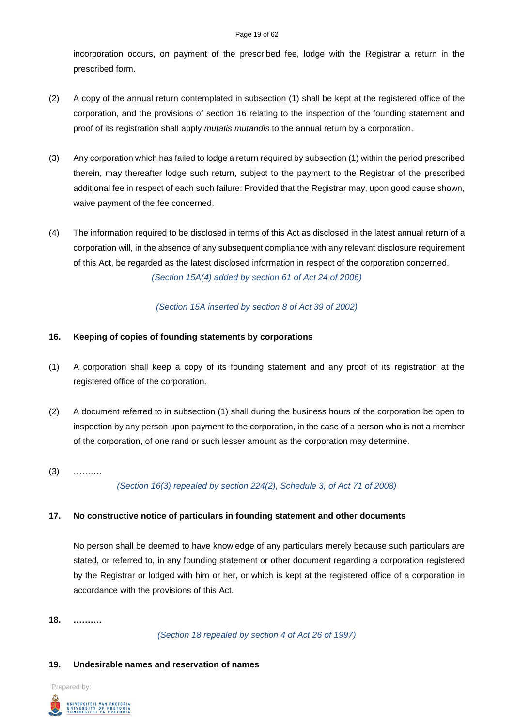#### Page 19 of 62

incorporation occurs, on payment of the prescribed fee, lodge with the Registrar a return in the prescribed form.

- (2) A copy of the annual return contemplated in subsection (1) shall be kept at the registered office of the corporation, and the provisions of section 16 relating to the inspection of the founding statement and proof of its registration shall apply *mutatis mutandis* to the annual return by a corporation.
- (3) Any corporation which has failed to lodge a return required by subsection (1) within the period prescribed therein, may thereafter lodge such return, subject to the payment to the Registrar of the prescribed additional fee in respect of each such failure: Provided that the Registrar may, upon good cause shown, waive payment of the fee concerned.
- (4) The information required to be disclosed in terms of this Act as disclosed in the latest annual return of a corporation will, in the absence of any subsequent compliance with any relevant disclosure requirement of this Act, be regarded as the latest disclosed information in respect of the corporation concerned. *(Section 15A(4) added by section 61 of Act 24 of 2006)*

*(Section 15A inserted by section 8 of Act 39 of 2002)*

## **16. Keeping of copies of founding statements by corporations**

- (1) A corporation shall keep a copy of its founding statement and any proof of its registration at the registered office of the corporation.
- (2) A document referred to in subsection (1) shall during the business hours of the corporation be open to inspection by any person upon payment to the corporation, in the case of a person who is not a member of the corporation, of one rand or such lesser amount as the corporation may determine.
- $(3)$  ………

*(Section 16(3) repealed by section 224(2), Schedule 3, of Act 71 of 2008)*

## **17. No constructive notice of particulars in founding statement and other documents**

No person shall be deemed to have knowledge of any particulars merely because such particulars are stated, or referred to, in any founding statement or other document regarding a corporation registered by the Registrar or lodged with him or her, or which is kept at the registered office of a corporation in accordance with the provisions of this Act.

**18. ……….**

*(Section 18 repealed by section 4 of Act 26 of 1997)*

## **19. Undesirable names and reservation of names**

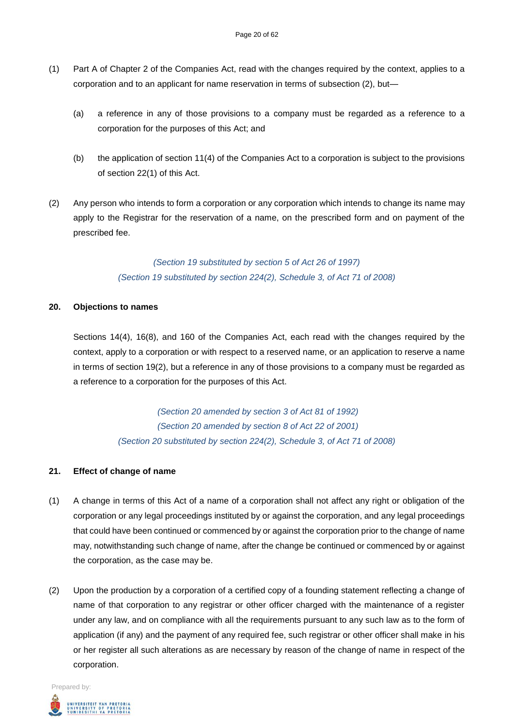- (1) Part A of Chapter 2 of the Companies Act, read with the changes required by the context, applies to a corporation and to an applicant for name reservation in terms of subsection (2), but—
	- (a) a reference in any of those provisions to a company must be regarded as a reference to a corporation for the purposes of this Act; and
	- (b) the application of section 11(4) of the Companies Act to a corporation is subject to the provisions of section 22(1) of this Act.
- (2) Any person who intends to form a corporation or any corporation which intends to change its name may apply to the Registrar for the reservation of a name, on the prescribed form and on payment of the prescribed fee.

*(Section 19 substituted by section 5 of Act 26 of 1997) (Section 19 substituted by section 224(2), Schedule 3, of Act 71 of 2008)*

#### **20. Objections to names**

Sections 14(4), 16(8), and 160 of the Companies Act, each read with the changes required by the context, apply to a corporation or with respect to a reserved name, or an application to reserve a name in terms of section 19(2), but a reference in any of those provisions to a company must be regarded as a reference to a corporation for the purposes of this Act.

> *(Section 20 amended by section 3 of Act 81 of 1992) (Section 20 amended by section 8 of Act 22 of 2001) (Section 20 substituted by section 224(2), Schedule 3, of Act 71 of 2008)*

## **21. Effect of change of name**

- (1) A change in terms of this Act of a name of a corporation shall not affect any right or obligation of the corporation or any legal proceedings instituted by or against the corporation, and any legal proceedings that could have been continued or commenced by or against the corporation prior to the change of name may, notwithstanding such change of name, after the change be continued or commenced by or against the corporation, as the case may be.
- (2) Upon the production by a corporation of a certified copy of a founding statement reflecting a change of name of that corporation to any registrar or other officer charged with the maintenance of a register under any law, and on compliance with all the requirements pursuant to any such law as to the form of application (if any) and the payment of any required fee, such registrar or other officer shall make in his or her register all such alterations as are necessary by reason of the change of name in respect of the corporation.

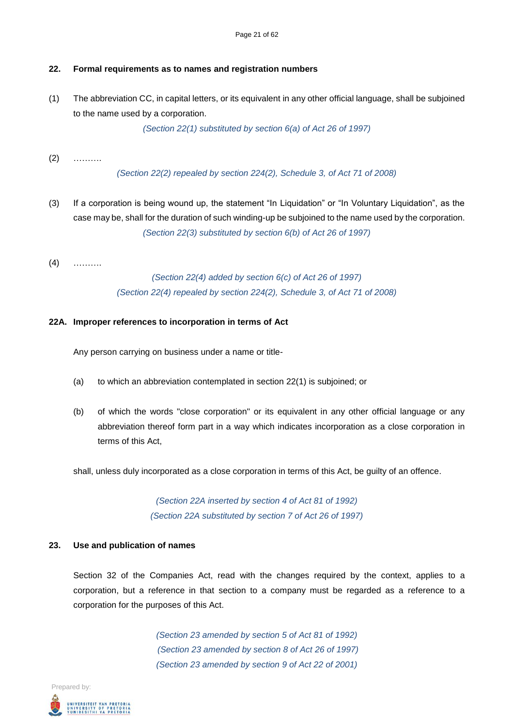## **22. Formal requirements as to names and registration numbers**

(1) The abbreviation CC, in capital letters, or its equivalent in any other official language, shall be subjoined to the name used by a corporation.

*(Section 22(1) substituted by section 6(a) of Act 26 of 1997)*

(2) ……….

*(Section 22(2) repealed by section 224(2), Schedule 3, of Act 71 of 2008)*

- (3) If a corporation is being wound up, the statement "In Liquidation" or "In Voluntary Liquidation", as the case may be, shall for the duration of such winding-up be subjoined to the name used by the corporation. *(Section 22(3) substituted by section 6(b) of Act 26 of 1997)*
- (4) ……….

*(Section 22(4) added by section 6(c) of Act 26 of 1997) (Section 22(4) repealed by section 224(2), Schedule 3, of Act 71 of 2008)*

#### **22A. Improper references to incorporation in terms of Act**

Any person carrying on business under a name or title-

- (a) to which an abbreviation contemplated in section 22(1) is subjoined; or
- (b) of which the words "close corporation" or its equivalent in any other official language or any abbreviation thereof form part in a way which indicates incorporation as a close corporation in terms of this Act,

shall, unless duly incorporated as a close corporation in terms of this Act, be guilty of an offence.

*(Section 22A inserted by section 4 of Act 81 of 1992) (Section 22A substituted by section 7 of Act 26 of 1997)*

#### **23. Use and publication of names**

Section 32 of the Companies Act, read with the changes required by the context, applies to a corporation, but a reference in that section to a company must be regarded as a reference to a corporation for the purposes of this Act.

> *(Section 23 amended by section 5 of Act 81 of 1992) (Section 23 amended by section 8 of Act 26 of 1997) (Section 23 amended by section 9 of Act 22 of 2001)*

Prepared by: .<br>UNIVERSITEIT VAN PRETORIA<br>YUNIBESITHI YA PRETORIA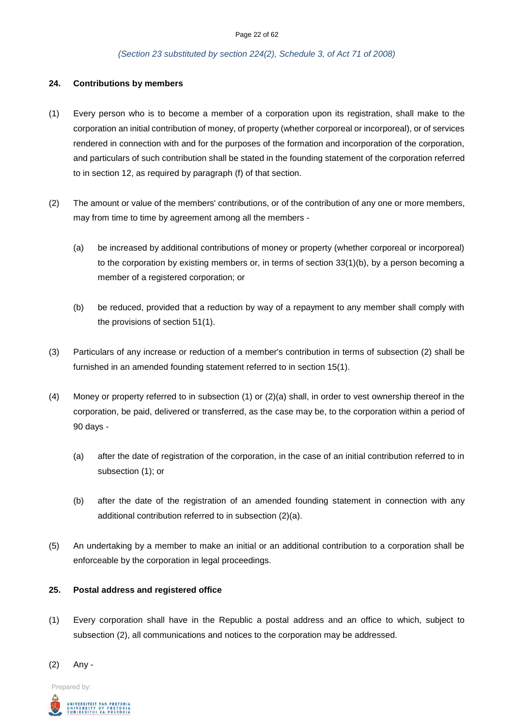#### Page 22 of 62

#### *(Section 23 substituted by section 224(2), Schedule 3, of Act 71 of 2008)*

#### **24. Contributions by members**

- (1) Every person who is to become a member of a corporation upon its registration, shall make to the corporation an initial contribution of money, of property (whether corporeal or incorporeal), or of services rendered in connection with and for the purposes of the formation and incorporation of the corporation, and particulars of such contribution shall be stated in the founding statement of the corporation referred to in section 12, as required by paragraph (f) of that section.
- (2) The amount or value of the members' contributions, or of the contribution of any one or more members, may from time to time by agreement among all the members -
	- (a) be increased by additional contributions of money or property (whether corporeal or incorporeal) to the corporation by existing members or, in terms of section 33(1)(b), by a person becoming a member of a registered corporation; or
	- (b) be reduced, provided that a reduction by way of a repayment to any member shall comply with the provisions of section 51(1).
- (3) Particulars of any increase or reduction of a member's contribution in terms of subsection (2) shall be furnished in an amended founding statement referred to in section 15(1).
- (4) Money or property referred to in subsection (1) or (2)(a) shall, in order to vest ownership thereof in the corporation, be paid, delivered or transferred, as the case may be, to the corporation within a period of 90 days -
	- (a) after the date of registration of the corporation, in the case of an initial contribution referred to in subsection (1); or
	- (b) after the date of the registration of an amended founding statement in connection with any additional contribution referred to in subsection (2)(a).
- (5) An undertaking by a member to make an initial or an additional contribution to a corporation shall be enforceable by the corporation in legal proceedings.

## **25. Postal address and registered office**

(1) Every corporation shall have in the Republic a postal address and an office to which, subject to subsection (2), all communications and notices to the corporation may be addressed.



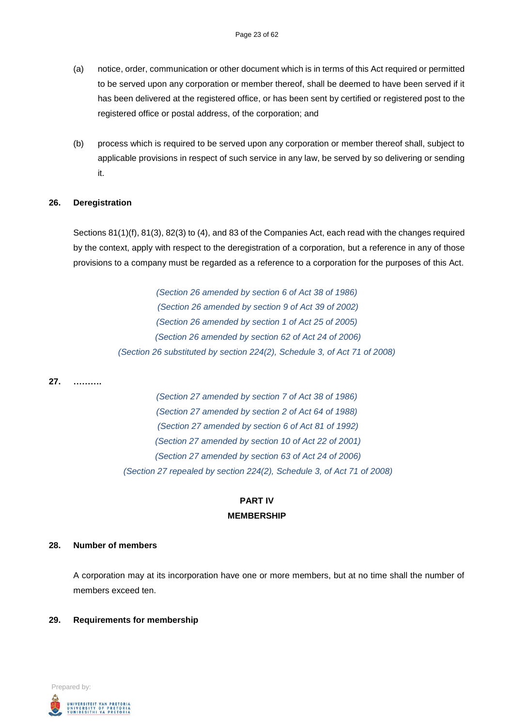- (a) notice, order, communication or other document which is in terms of this Act required or permitted to be served upon any corporation or member thereof, shall be deemed to have been served if it has been delivered at the registered office, or has been sent by certified or registered post to the registered office or postal address, of the corporation; and
- (b) process which is required to be served upon any corporation or member thereof shall, subject to applicable provisions in respect of such service in any law, be served by so delivering or sending it.

#### **26. Deregistration**

Sections 81(1)(f), 81(3), 82(3) to (4), and 83 of the Companies Act, each read with the changes required by the context, apply with respect to the deregistration of a corporation, but a reference in any of those provisions to a company must be regarded as a reference to a corporation for the purposes of this Act.

> *(Section 26 amended by section 6 of Act 38 of 1986) (Section 26 amended by section 9 of Act 39 of 2002) (Section 26 amended by section 1 of Act 25 of 2005) (Section 26 amended by section 62 of Act 24 of 2006) (Section 26 substituted by section 224(2), Schedule 3, of Act 71 of 2008)*

**27. ……….**

*(Section 27 amended by section 7 of Act 38 of 1986) (Section 27 amended by section 2 of Act 64 of 1988) (Section 27 amended by section 6 of Act 81 of 1992) (Section 27 amended by section 10 of Act 22 of 2001) (Section 27 amended by section 63 of Act 24 of 2006) (Section 27 repealed by section 224(2), Schedule 3, of Act 71 of 2008)*

# **PART IV MEMBERSHIP**

#### **28. Number of members**

A corporation may at its incorporation have one or more members, but at no time shall the number of members exceed ten.

#### **29. Requirements for membership**

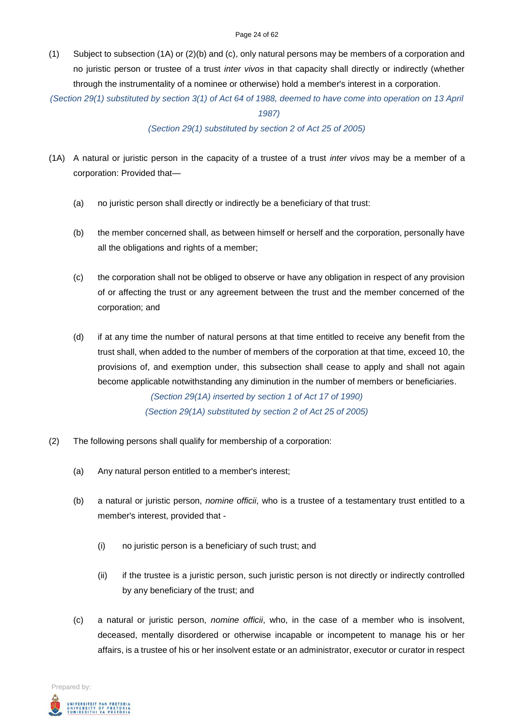(1) Subject to subsection (1A) or (2)(b) and (c), only natural persons may be members of a corporation and no juristic person or trustee of a trust *inter vivos* in that capacity shall directly or indirectly (whether through the instrumentality of a nominee or otherwise) hold a member's interest in a corporation.

*(Section 29(1) substituted by section 3(1) of Act 64 of 1988, deemed to have come into operation on 13 April* 

*1987)*

*(Section 29(1) substituted by section 2 of Act 25 of 2005)*

- (1A) A natural or juristic person in the capacity of a trustee of a trust *inter vivos* may be a member of a corporation: Provided that—
	- (a) no juristic person shall directly or indirectly be a beneficiary of that trust:
	- (b) the member concerned shall, as between himself or herself and the corporation, personally have all the obligations and rights of a member;
	- (c) the corporation shall not be obliged to observe or have any obligation in respect of any provision of or affecting the trust or any agreement between the trust and the member concerned of the corporation; and
	- (d) if at any time the number of natural persons at that time entitled to receive any benefit from the trust shall, when added to the number of members of the corporation at that time, exceed 10, the provisions of, and exemption under, this subsection shall cease to apply and shall not again become applicable notwithstanding any diminution in the number of members or beneficiaries.

*(Section 29(1A) inserted by section 1 of Act 17 of 1990) (Section 29(1A) substituted by section 2 of Act 25 of 2005)*

- (2) The following persons shall qualify for membership of a corporation:
	- (a) Any natural person entitled to a member's interest;
	- (b) a natural or juristic person, *nomine officii*, who is a trustee of a testamentary trust entitled to a member's interest, provided that -
		- (i) no juristic person is a beneficiary of such trust; and
		- (ii) if the trustee is a juristic person, such juristic person is not directly or indirectly controlled by any beneficiary of the trust; and
	- (c) a natural or juristic person, *nomine officii*, who, in the case of a member who is insolvent, deceased, mentally disordered or otherwise incapable or incompetent to manage his or her affairs, is a trustee of his or her insolvent estate or an administrator, executor or curator in respect

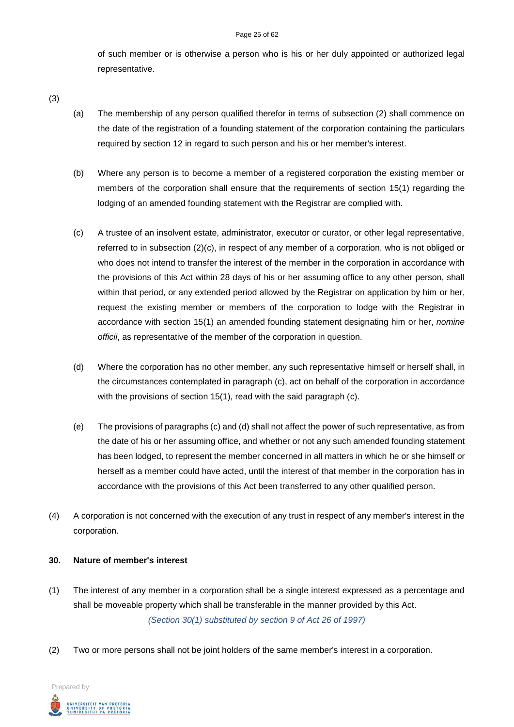#### Page 25 of 62

of such member or is otherwise a person who is his or her duly appointed or authorized legal representative.

- (3)
- (a) The membership of any person qualified therefor in terms of subsection (2) shall commence on the date of the registration of a founding statement of the corporation containing the particulars required by section 12 in regard to such person and his or her member's interest.
- (b) Where any person is to become a member of a registered corporation the existing member or members of the corporation shall ensure that the requirements of section 15(1) regarding the lodging of an amended founding statement with the Registrar are complied with.
- (c) A trustee of an insolvent estate, administrator, executor or curator, or other legal representative, referred to in subsection (2)(c), in respect of any member of a corporation, who is not obliged or who does not intend to transfer the interest of the member in the corporation in accordance with the provisions of this Act within 28 days of his or her assuming office to any other person, shall within that period, or any extended period allowed by the Registrar on application by him or her, request the existing member or members of the corporation to lodge with the Registrar in accordance with section 15(1) an amended founding statement designating him or her, *nomine officii*, as representative of the member of the corporation in question.
- (d) Where the corporation has no other member, any such representative himself or herself shall, in the circumstances contemplated in paragraph (c), act on behalf of the corporation in accordance with the provisions of section 15(1), read with the said paragraph (c).
- (e) The provisions of paragraphs (c) and (d) shall not affect the power of such representative, as from the date of his or her assuming office, and whether or not any such amended founding statement has been lodged, to represent the member concerned in all matters in which he or she himself or herself as a member could have acted, until the interest of that member in the corporation has in accordance with the provisions of this Act been transferred to any other qualified person.
- (4) A corporation is not concerned with the execution of any trust in respect of any member's interest in the corporation.

#### **30. Nature of member's interest**

- (1) The interest of any member in a corporation shall be a single interest expressed as a percentage and shall be moveable property which shall be transferable in the manner provided by this Act. *(Section 30(1) substituted by section 9 of Act 26 of 1997)*
- (2) Two or more persons shall not be joint holders of the same member's interest in a corporation.

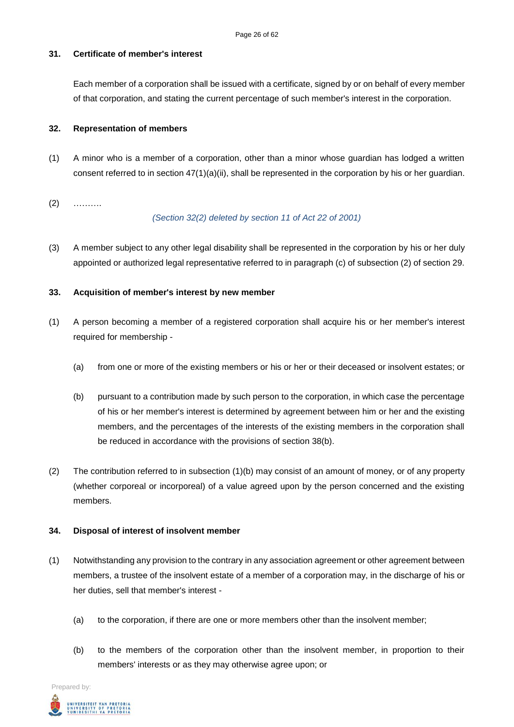#### **31. Certificate of member's interest**

Each member of a corporation shall be issued with a certificate, signed by or on behalf of every member of that corporation, and stating the current percentage of such member's interest in the corporation.

#### **32. Representation of members**

- (1) A minor who is a member of a corporation, other than a minor whose guardian has lodged a written consent referred to in section 47(1)(a)(ii), shall be represented in the corporation by his or her guardian.
- (2) ……….

#### *(Section 32(2) deleted by section 11 of Act 22 of 2001)*

(3) A member subject to any other legal disability shall be represented in the corporation by his or her duly appointed or authorized legal representative referred to in paragraph (c) of subsection (2) of section 29.

#### **33. Acquisition of member's interest by new member**

- (1) A person becoming a member of a registered corporation shall acquire his or her member's interest required for membership -
	- (a) from one or more of the existing members or his or her or their deceased or insolvent estates; or
	- (b) pursuant to a contribution made by such person to the corporation, in which case the percentage of his or her member's interest is determined by agreement between him or her and the existing members, and the percentages of the interests of the existing members in the corporation shall be reduced in accordance with the provisions of section 38(b).
- (2) The contribution referred to in subsection (1)(b) may consist of an amount of money, or of any property (whether corporeal or incorporeal) of a value agreed upon by the person concerned and the existing members.

#### **34. Disposal of interest of insolvent member**

- (1) Notwithstanding any provision to the contrary in any association agreement or other agreement between members, a trustee of the insolvent estate of a member of a corporation may, in the discharge of his or her duties, sell that member's interest -
	- (a) to the corporation, if there are one or more members other than the insolvent member;
	- (b) to the members of the corporation other than the insolvent member, in proportion to their members' interests or as they may otherwise agree upon; or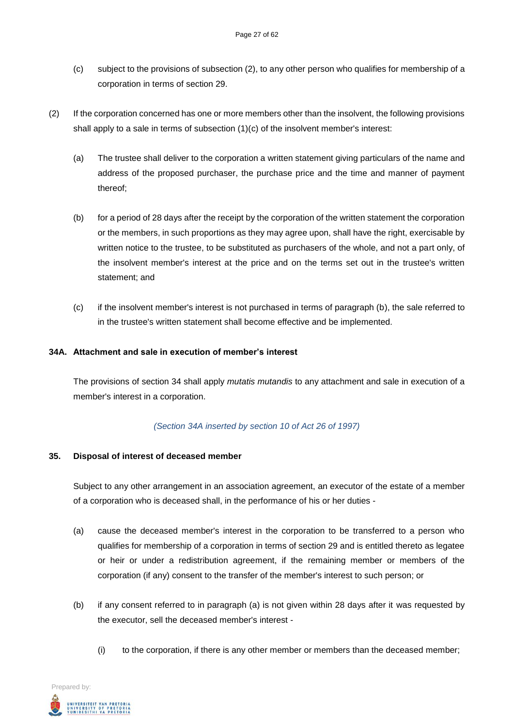- (c) subject to the provisions of subsection (2), to any other person who qualifies for membership of a corporation in terms of section 29.
- (2) If the corporation concerned has one or more members other than the insolvent, the following provisions shall apply to a sale in terms of subsection (1)(c) of the insolvent member's interest:
	- (a) The trustee shall deliver to the corporation a written statement giving particulars of the name and address of the proposed purchaser, the purchase price and the time and manner of payment thereof;
	- (b) for a period of 28 days after the receipt by the corporation of the written statement the corporation or the members, in such proportions as they may agree upon, shall have the right, exercisable by written notice to the trustee, to be substituted as purchasers of the whole, and not a part only, of the insolvent member's interest at the price and on the terms set out in the trustee's written statement; and
	- (c) if the insolvent member's interest is not purchased in terms of paragraph (b), the sale referred to in the trustee's written statement shall become effective and be implemented.

#### **34A. Attachment and sale in execution of member's interest**

The provisions of section 34 shall apply *mutatis mutandis* to any attachment and sale in execution of a member's interest in a corporation.

#### *(Section 34A inserted by section 10 of Act 26 of 1997)*

#### **35. Disposal of interest of deceased member**

Subject to any other arrangement in an association agreement, an executor of the estate of a member of a corporation who is deceased shall, in the performance of his or her duties -

- (a) cause the deceased member's interest in the corporation to be transferred to a person who qualifies for membership of a corporation in terms of section 29 and is entitled thereto as legatee or heir or under a redistribution agreement, if the remaining member or members of the corporation (if any) consent to the transfer of the member's interest to such person; or
- (b) if any consent referred to in paragraph (a) is not given within 28 days after it was requested by the executor, sell the deceased member's interest -
	- (i) to the corporation, if there is any other member or members than the deceased member;

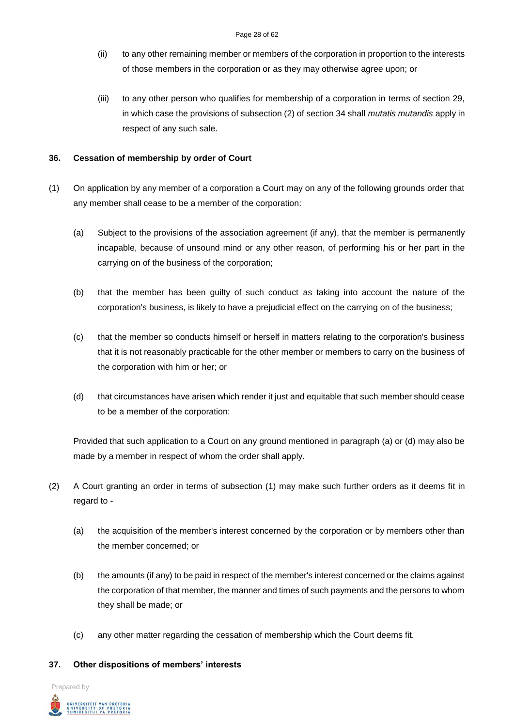- (ii) to any other remaining member or members of the corporation in proportion to the interests of those members in the corporation or as they may otherwise agree upon; or
- (iii) to any other person who qualifies for membership of a corporation in terms of section 29, in which case the provisions of subsection (2) of section 34 shall *mutatis mutandis* apply in respect of any such sale.

## **36. Cessation of membership by order of Court**

- (1) On application by any member of a corporation a Court may on any of the following grounds order that any member shall cease to be a member of the corporation:
	- (a) Subject to the provisions of the association agreement (if any), that the member is permanently incapable, because of unsound mind or any other reason, of performing his or her part in the carrying on of the business of the corporation;
	- (b) that the member has been guilty of such conduct as taking into account the nature of the corporation's business, is likely to have a prejudicial effect on the carrying on of the business;
	- (c) that the member so conducts himself or herself in matters relating to the corporation's business that it is not reasonably practicable for the other member or members to carry on the business of the corporation with him or her; or
	- (d) that circumstances have arisen which render it just and equitable that such member should cease to be a member of the corporation:

Provided that such application to a Court on any ground mentioned in paragraph (a) or (d) may also be made by a member in respect of whom the order shall apply.

- (2) A Court granting an order in terms of subsection (1) may make such further orders as it deems fit in regard to -
	- (a) the acquisition of the member's interest concerned by the corporation or by members other than the member concerned; or
	- (b) the amounts (if any) to be paid in respect of the member's interest concerned or the claims against the corporation of that member, the manner and times of such payments and the persons to whom they shall be made; or
	- (c) any other matter regarding the cessation of membership which the Court deems fit.

#### **37. Other dispositions of members' interests**

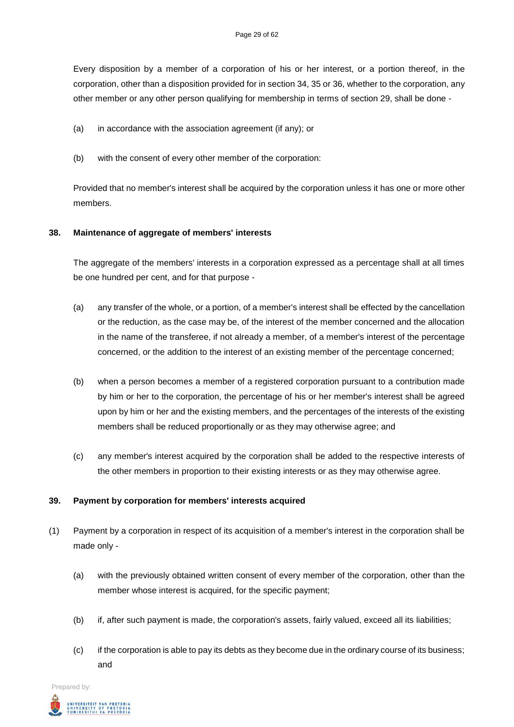Every disposition by a member of a corporation of his or her interest, or a portion thereof, in the corporation, other than a disposition provided for in section 34, 35 or 36, whether to the corporation, any other member or any other person qualifying for membership in terms of section 29, shall be done -

- (a) in accordance with the association agreement (if any); or
- (b) with the consent of every other member of the corporation:

Provided that no member's interest shall be acquired by the corporation unless it has one or more other members.

## **38. Maintenance of aggregate of members' interests**

The aggregate of the members' interests in a corporation expressed as a percentage shall at all times be one hundred per cent, and for that purpose -

- (a) any transfer of the whole, or a portion, of a member's interest shall be effected by the cancellation or the reduction, as the case may be, of the interest of the member concerned and the allocation in the name of the transferee, if not already a member, of a member's interest of the percentage concerned, or the addition to the interest of an existing member of the percentage concerned;
- (b) when a person becomes a member of a registered corporation pursuant to a contribution made by him or her to the corporation, the percentage of his or her member's interest shall be agreed upon by him or her and the existing members, and the percentages of the interests of the existing members shall be reduced proportionally or as they may otherwise agree; and
- (c) any member's interest acquired by the corporation shall be added to the respective interests of the other members in proportion to their existing interests or as they may otherwise agree.

## **39. Payment by corporation for members' interests acquired**

- (1) Payment by a corporation in respect of its acquisition of a member's interest in the corporation shall be made only -
	- (a) with the previously obtained written consent of every member of the corporation, other than the member whose interest is acquired, for the specific payment;
	- (b) if, after such payment is made, the corporation's assets, fairly valued, exceed all its liabilities;
	- (c) if the corporation is able to pay its debts as they become due in the ordinary course of its business; and

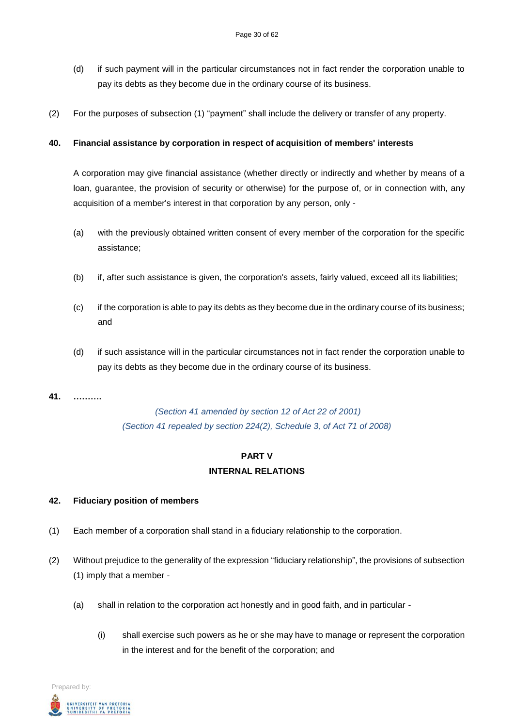- (d) if such payment will in the particular circumstances not in fact render the corporation unable to pay its debts as they become due in the ordinary course of its business.
- (2) For the purposes of subsection (1) "payment" shall include the delivery or transfer of any property.

### **40. Financial assistance by corporation in respect of acquisition of members' interests**

A corporation may give financial assistance (whether directly or indirectly and whether by means of a loan, guarantee, the provision of security or otherwise) for the purpose of, or in connection with, any acquisition of a member's interest in that corporation by any person, only -

- (a) with the previously obtained written consent of every member of the corporation for the specific assistance;
- (b) if, after such assistance is given, the corporation's assets, fairly valued, exceed all its liabilities;
- (c) if the corporation is able to pay its debts as they become due in the ordinary course of its business; and
- (d) if such assistance will in the particular circumstances not in fact render the corporation unable to pay its debts as they become due in the ordinary course of its business.

#### **41. ……….**

# *(Section 41 amended by section 12 of Act 22 of 2001) (Section 41 repealed by section 224(2), Schedule 3, of Act 71 of 2008)*

# **PART V INTERNAL RELATIONS**

## **42. Fiduciary position of members**

- (1) Each member of a corporation shall stand in a fiduciary relationship to the corporation.
- (2) Without prejudice to the generality of the expression "fiduciary relationship", the provisions of subsection (1) imply that a member -
	- (a) shall in relation to the corporation act honestly and in good faith, and in particular
		- (i) shall exercise such powers as he or she may have to manage or represent the corporation in the interest and for the benefit of the corporation; and

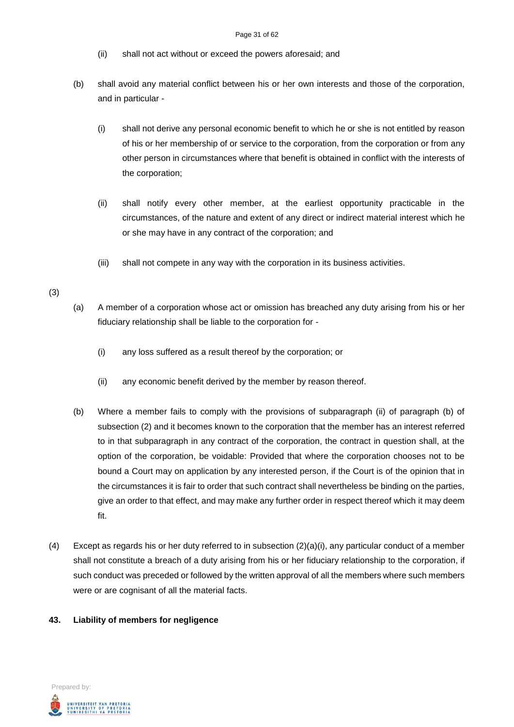- (ii) shall not act without or exceed the powers aforesaid; and
- (b) shall avoid any material conflict between his or her own interests and those of the corporation, and in particular -
	- (i) shall not derive any personal economic benefit to which he or she is not entitled by reason of his or her membership of or service to the corporation, from the corporation or from any other person in circumstances where that benefit is obtained in conflict with the interests of the corporation;
	- (ii) shall notify every other member, at the earliest opportunity practicable in the circumstances, of the nature and extent of any direct or indirect material interest which he or she may have in any contract of the corporation; and
	- (iii) shall not compete in any way with the corporation in its business activities.

#### (3)

- (a) A member of a corporation whose act or omission has breached any duty arising from his or her fiduciary relationship shall be liable to the corporation for -
	- (i) any loss suffered as a result thereof by the corporation; or
	- (ii) any economic benefit derived by the member by reason thereof.
- (b) Where a member fails to comply with the provisions of subparagraph (ii) of paragraph (b) of subsection (2) and it becomes known to the corporation that the member has an interest referred to in that subparagraph in any contract of the corporation, the contract in question shall, at the option of the corporation, be voidable: Provided that where the corporation chooses not to be bound a Court may on application by any interested person, if the Court is of the opinion that in the circumstances it is fair to order that such contract shall nevertheless be binding on the parties, give an order to that effect, and may make any further order in respect thereof which it may deem fit.
- (4) Except as regards his or her duty referred to in subsection (2)(a)(i), any particular conduct of a member shall not constitute a breach of a duty arising from his or her fiduciary relationship to the corporation, if such conduct was preceded or followed by the written approval of all the members where such members were or are cognisant of all the material facts.

#### **43. Liability of members for negligence**

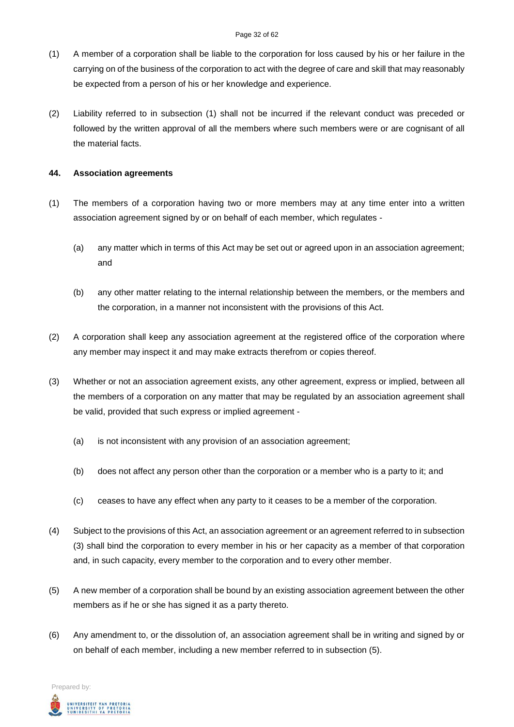- (1) A member of a corporation shall be liable to the corporation for loss caused by his or her failure in the carrying on of the business of the corporation to act with the degree of care and skill that may reasonably be expected from a person of his or her knowledge and experience.
- (2) Liability referred to in subsection (1) shall not be incurred if the relevant conduct was preceded or followed by the written approval of all the members where such members were or are cognisant of all the material facts.

### **44. Association agreements**

- (1) The members of a corporation having two or more members may at any time enter into a written association agreement signed by or on behalf of each member, which regulates -
	- (a) any matter which in terms of this Act may be set out or agreed upon in an association agreement; and
	- (b) any other matter relating to the internal relationship between the members, or the members and the corporation, in a manner not inconsistent with the provisions of this Act.
- (2) A corporation shall keep any association agreement at the registered office of the corporation where any member may inspect it and may make extracts therefrom or copies thereof.
- (3) Whether or not an association agreement exists, any other agreement, express or implied, between all the members of a corporation on any matter that may be regulated by an association agreement shall be valid, provided that such express or implied agreement -
	- (a) is not inconsistent with any provision of an association agreement;
	- (b) does not affect any person other than the corporation or a member who is a party to it; and
	- (c) ceases to have any effect when any party to it ceases to be a member of the corporation.
- (4) Subject to the provisions of this Act, an association agreement or an agreement referred to in subsection (3) shall bind the corporation to every member in his or her capacity as a member of that corporation and, in such capacity, every member to the corporation and to every other member.
- (5) A new member of a corporation shall be bound by an existing association agreement between the other members as if he or she has signed it as a party thereto.
- (6) Any amendment to, or the dissolution of, an association agreement shall be in writing and signed by or on behalf of each member, including a new member referred to in subsection (5).

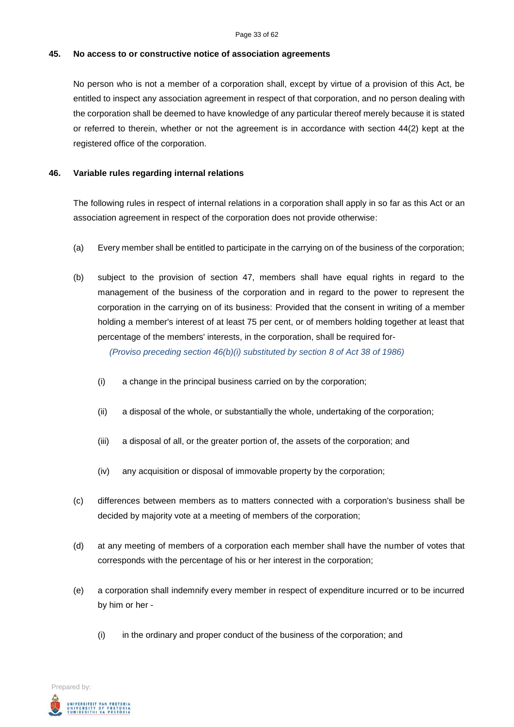#### **45. No access to or constructive notice of association agreements**

No person who is not a member of a corporation shall, except by virtue of a provision of this Act, be entitled to inspect any association agreement in respect of that corporation, and no person dealing with the corporation shall be deemed to have knowledge of any particular thereof merely because it is stated or referred to therein, whether or not the agreement is in accordance with section 44(2) kept at the registered office of the corporation.

#### **46. Variable rules regarding internal relations**

The following rules in respect of internal relations in a corporation shall apply in so far as this Act or an association agreement in respect of the corporation does not provide otherwise:

- (a) Every member shall be entitled to participate in the carrying on of the business of the corporation;
- (b) subject to the provision of section 47, members shall have equal rights in regard to the management of the business of the corporation and in regard to the power to represent the corporation in the carrying on of its business: Provided that the consent in writing of a member holding a member's interest of at least 75 per cent, or of members holding together at least that percentage of the members' interests, in the corporation, shall be required for-

*(Proviso preceding section 46(b)(i) substituted by section 8 of Act 38 of 1986)*

- (i) a change in the principal business carried on by the corporation;
- (ii) a disposal of the whole, or substantially the whole, undertaking of the corporation;
- (iii) a disposal of all, or the greater portion of, the assets of the corporation; and
- (iv) any acquisition or disposal of immovable property by the corporation;
- (c) differences between members as to matters connected with a corporation's business shall be decided by majority vote at a meeting of members of the corporation;
- (d) at any meeting of members of a corporation each member shall have the number of votes that corresponds with the percentage of his or her interest in the corporation;
- (e) a corporation shall indemnify every member in respect of expenditure incurred or to be incurred by him or her -
	- (i) in the ordinary and proper conduct of the business of the corporation; and

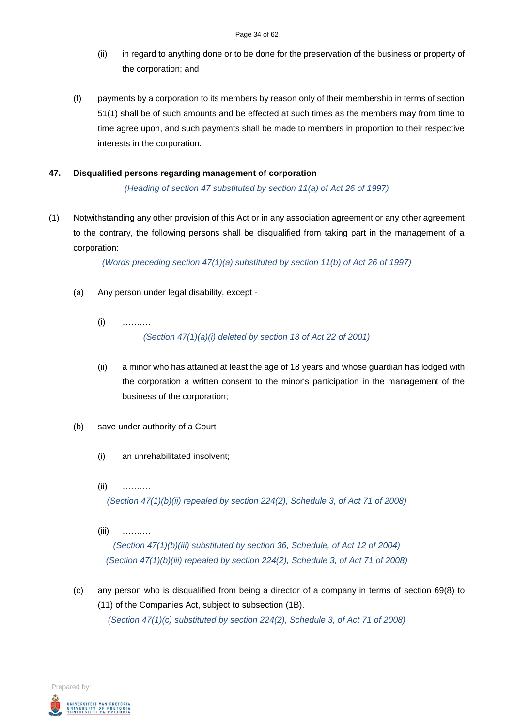- (ii) in regard to anything done or to be done for the preservation of the business or property of the corporation; and
- (f) payments by a corporation to its members by reason only of their membership in terms of section 51(1) shall be of such amounts and be effected at such times as the members may from time to time agree upon, and such payments shall be made to members in proportion to their respective interests in the corporation.

## **47. Disqualified persons regarding management of corporation**

*(Heading of section 47 substituted by section 11(a) of Act 26 of 1997)*

(1) Notwithstanding any other provision of this Act or in any association agreement or any other agreement to the contrary, the following persons shall be disqualified from taking part in the management of a corporation:

*(Words preceding section 47(1)(a) substituted by section 11(b) of Act 26 of 1997)*

- (a) Any person under legal disability, except
	- (i) ………. *(Section 47(1)(a)(i) deleted by section 13 of Act 22 of 2001)*
	- (ii) a minor who has attained at least the age of 18 years and whose guardian has lodged with the corporation a written consent to the minor's participation in the management of the business of the corporation;
- (b) save under authority of a Court
	- (i) an unrehabilitated insolvent;
	- (ii) ……….

*(Section 47(1)(b)(ii) repealed by section 224(2), Schedule 3, of Act 71 of 2008)*

- (iii) ………. *(Section 47(1)(b)(iii) substituted by section 36, Schedule, of Act 12 of 2004) (Section 47(1)(b)(iii) repealed by section 224(2), Schedule 3, of Act 71 of 2008)*
- (c) any person who is disqualified from being a director of a company in terms of section 69(8) to (11) of the Companies Act, subject to subsection (1B). *(Section 47(1)(c) substituted by section 224(2), Schedule 3, of Act 71 of 2008)*

Prepared by: .<br>Iniversiteit van Pretoria<br>Iniversity of Pretoria<br>Iunibesithi ya Pretoria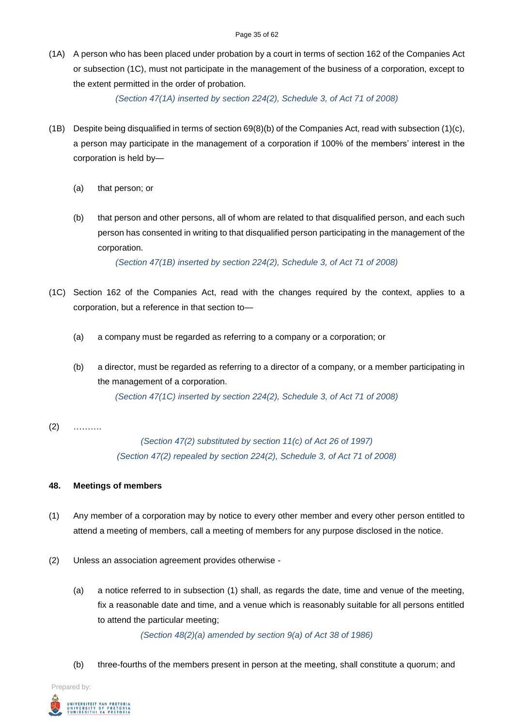(1A) A person who has been placed under probation by a court in terms of section 162 of the Companies Act or subsection (1C), must not participate in the management of the business of a corporation, except to the extent permitted in the order of probation.

*(Section 47(1A) inserted by section 224(2), Schedule 3, of Act 71 of 2008)*

- (1B) Despite being disqualified in terms of section 69(8)(b) of the Companies Act, read with subsection (1)(c), a person may participate in the management of a corporation if 100% of the members' interest in the corporation is held by—
	- (a) that person; or
	- (b) that person and other persons, all of whom are related to that disqualified person, and each such person has consented in writing to that disqualified person participating in the management of the corporation.

*(Section 47(1B) inserted by section 224(2), Schedule 3, of Act 71 of 2008)*

- (1C) Section 162 of the Companies Act, read with the changes required by the context, applies to a corporation, but a reference in that section to—
	- (a) a company must be regarded as referring to a company or a corporation; or
	- (b) a director, must be regarded as referring to a director of a company, or a member participating in the management of a corporation. *(Section 47(1C) inserted by section 224(2), Schedule 3, of Act 71 of 2008)*
- $(2)$  ………

*(Section 47(2) substituted by section 11(c) of Act 26 of 1997) (Section 47(2) repealed by section 224(2), Schedule 3, of Act 71 of 2008)*

## **48. Meetings of members**

- (1) Any member of a corporation may by notice to every other member and every other person entitled to attend a meeting of members, call a meeting of members for any purpose disclosed in the notice.
- (2) Unless an association agreement provides otherwise
	- (a) a notice referred to in subsection (1) shall, as regards the date, time and venue of the meeting, fix a reasonable date and time, and a venue which is reasonably suitable for all persons entitled to attend the particular meeting;

*(Section 48(2)(a) amended by section 9(a) of Act 38 of 1986)*

(b) three-fourths of the members present in person at the meeting, shall constitute a quorum; and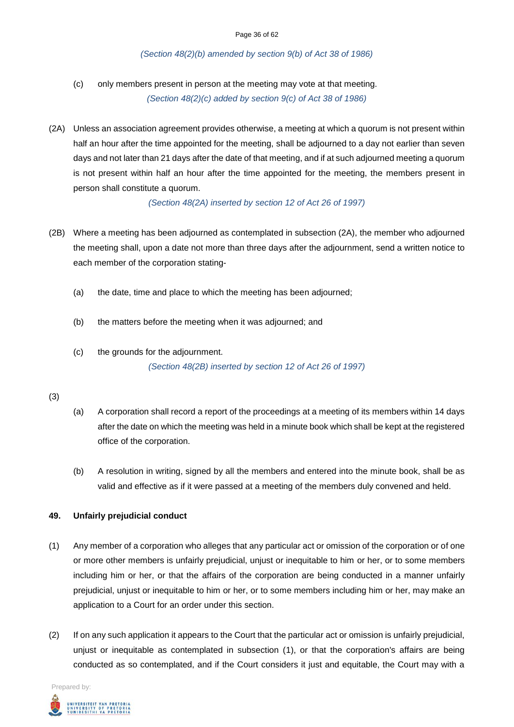#### *(Section 48(2)(b) amended by section 9(b) of Act 38 of 1986)*

(c) only members present in person at the meeting may vote at that meeting.

*(Section 48(2)(c) added by section 9(c) of Act 38 of 1986)*

(2A) Unless an association agreement provides otherwise, a meeting at which a quorum is not present within half an hour after the time appointed for the meeting, shall be adjourned to a day not earlier than seven days and not later than 21 days after the date of that meeting, and if at such adjourned meeting a quorum is not present within half an hour after the time appointed for the meeting, the members present in person shall constitute a quorum.

*(Section 48(2A) inserted by section 12 of Act 26 of 1997)*

- (2B) Where a meeting has been adjourned as contemplated in subsection (2A), the member who adjourned the meeting shall, upon a date not more than three days after the adjournment, send a written notice to each member of the corporation stating-
	- (a) the date, time and place to which the meeting has been adjourned;
	- (b) the matters before the meeting when it was adjourned; and
	- (c) the grounds for the adjournment. *(Section 48(2B) inserted by section 12 of Act 26 of 1997)*

#### (3)

- (a) A corporation shall record a report of the proceedings at a meeting of its members within 14 days after the date on which the meeting was held in a minute book which shall be kept at the registered office of the corporation.
- (b) A resolution in writing, signed by all the members and entered into the minute book, shall be as valid and effective as if it were passed at a meeting of the members duly convened and held.

#### **49. Unfairly prejudicial conduct**

- (1) Any member of a corporation who alleges that any particular act or omission of the corporation or of one or more other members is unfairly prejudicial, unjust or inequitable to him or her, or to some members including him or her, or that the affairs of the corporation are being conducted in a manner unfairly prejudicial, unjust or inequitable to him or her, or to some members including him or her, may make an application to a Court for an order under this section.
- (2) If on any such application it appears to the Court that the particular act or omission is unfairly prejudicial, unjust or inequitable as contemplated in subsection (1), or that the corporation's affairs are being conducted as so contemplated, and if the Court considers it just and equitable, the Court may with a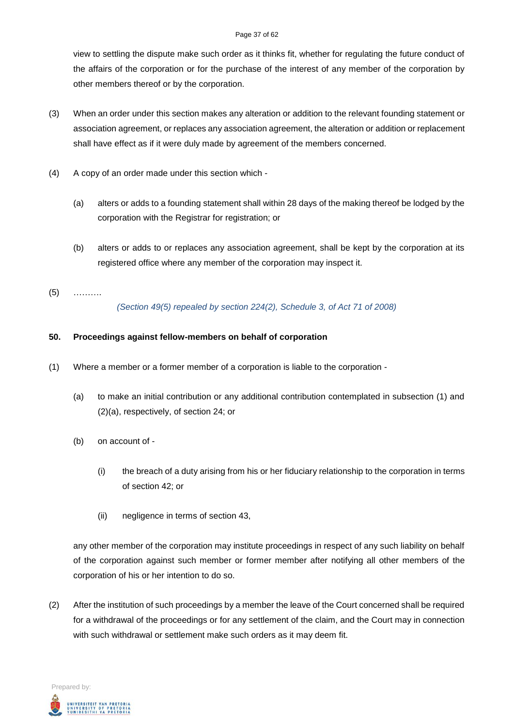#### Page 37 of 62

view to settling the dispute make such order as it thinks fit, whether for regulating the future conduct of the affairs of the corporation or for the purchase of the interest of any member of the corporation by other members thereof or by the corporation.

- (3) When an order under this section makes any alteration or addition to the relevant founding statement or association agreement, or replaces any association agreement, the alteration or addition or replacement shall have effect as if it were duly made by agreement of the members concerned.
- (4) A copy of an order made under this section which
	- (a) alters or adds to a founding statement shall within 28 days of the making thereof be lodged by the corporation with the Registrar for registration; or
	- (b) alters or adds to or replaces any association agreement, shall be kept by the corporation at its registered office where any member of the corporation may inspect it.
- (5) ………. *(Section 49(5) repealed by section 224(2), Schedule 3, of Act 71 of 2008)*

## **50. Proceedings against fellow-members on behalf of corporation**

- (1) Where a member or a former member of a corporation is liable to the corporation
	- (a) to make an initial contribution or any additional contribution contemplated in subsection (1) and (2)(a), respectively, of section 24; or
	- (b) on account of
		- (i) the breach of a duty arising from his or her fiduciary relationship to the corporation in terms of section 42; or
		- (ii) negligence in terms of section 43,

any other member of the corporation may institute proceedings in respect of any such liability on behalf of the corporation against such member or former member after notifying all other members of the corporation of his or her intention to do so.

(2) After the institution of such proceedings by a member the leave of the Court concerned shall be required for a withdrawal of the proceedings or for any settlement of the claim, and the Court may in connection with such withdrawal or settlement make such orders as it may deem fit.

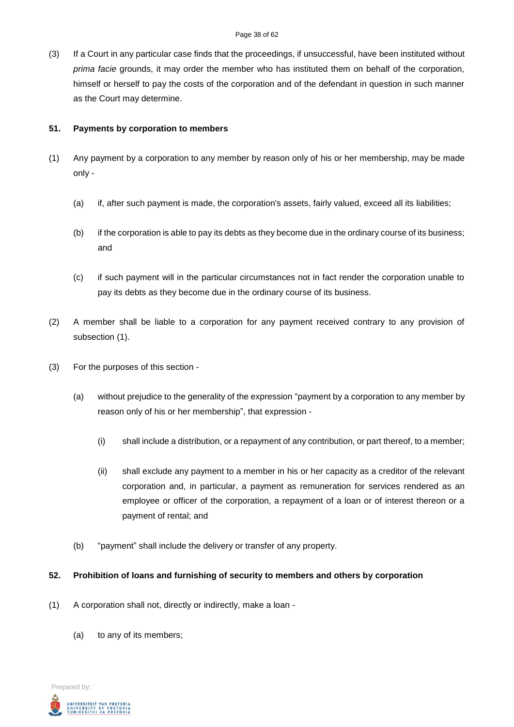(3) If a Court in any particular case finds that the proceedings, if unsuccessful, have been instituted without *prima facie* grounds, it may order the member who has instituted them on behalf of the corporation, himself or herself to pay the costs of the corporation and of the defendant in question in such manner as the Court may determine.

#### **51. Payments by corporation to members**

- (1) Any payment by a corporation to any member by reason only of his or her membership, may be made only -
	- (a) if, after such payment is made, the corporation's assets, fairly valued, exceed all its liabilities;
	- (b) if the corporation is able to pay its debts as they become due in the ordinary course of its business; and
	- (c) if such payment will in the particular circumstances not in fact render the corporation unable to pay its debts as they become due in the ordinary course of its business.
- (2) A member shall be liable to a corporation for any payment received contrary to any provision of subsection (1).
- (3) For the purposes of this section
	- (a) without prejudice to the generality of the expression "payment by a corporation to any member by reason only of his or her membership", that expression -
		- (i) shall include a distribution, or a repayment of any contribution, or part thereof, to a member;
		- (ii) shall exclude any payment to a member in his or her capacity as a creditor of the relevant corporation and, in particular, a payment as remuneration for services rendered as an employee or officer of the corporation, a repayment of a loan or of interest thereon or a payment of rental; and
	- (b) "payment" shall include the delivery or transfer of any property.

#### **52. Prohibition of loans and furnishing of security to members and others by corporation**

- (1) A corporation shall not, directly or indirectly, make a loan
	- (a) to any of its members;

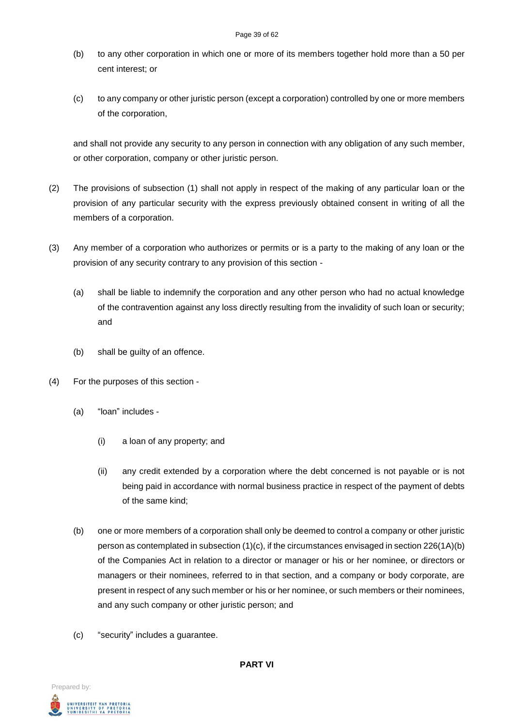- (b) to any other corporation in which one or more of its members together hold more than a 50 per cent interest; or
- (c) to any company or other juristic person (except a corporation) controlled by one or more members of the corporation,

and shall not provide any security to any person in connection with any obligation of any such member, or other corporation, company or other juristic person.

- (2) The provisions of subsection (1) shall not apply in respect of the making of any particular loan or the provision of any particular security with the express previously obtained consent in writing of all the members of a corporation.
- (3) Any member of a corporation who authorizes or permits or is a party to the making of any loan or the provision of any security contrary to any provision of this section -
	- (a) shall be liable to indemnify the corporation and any other person who had no actual knowledge of the contravention against any loss directly resulting from the invalidity of such loan or security; and
	- (b) shall be guilty of an offence.
- (4) For the purposes of this section
	- (a) "loan" includes
		- (i) a loan of any property; and
		- (ii) any credit extended by a corporation where the debt concerned is not payable or is not being paid in accordance with normal business practice in respect of the payment of debts of the same kind;
	- (b) one or more members of a corporation shall only be deemed to control a company or other juristic person as contemplated in subsection  $(1)(c)$ , if the circumstances envisaged in section 226 $(1A)(b)$ of the Companies Act in relation to a director or manager or his or her nominee, or directors or managers or their nominees, referred to in that section, and a company or body corporate, are present in respect of any such member or his or her nominee, or such members or their nominees, and any such company or other juristic person; and
	- (c) "security" includes a guarantee.

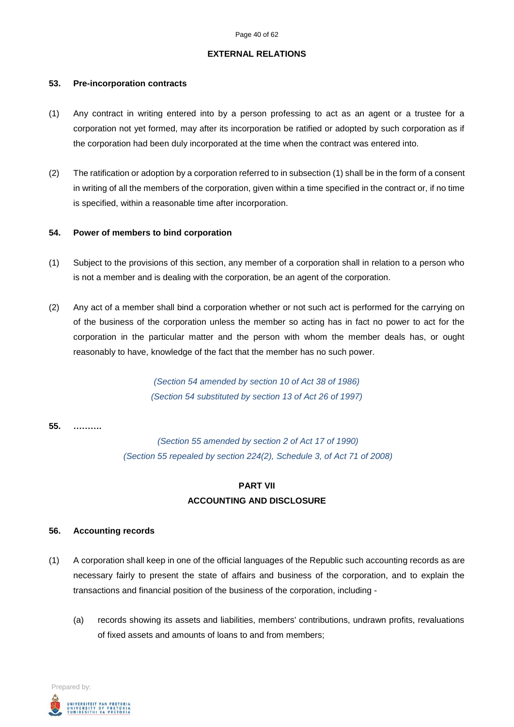#### **EXTERNAL RELATIONS**

#### **53. Pre-incorporation contracts**

- (1) Any contract in writing entered into by a person professing to act as an agent or a trustee for a corporation not yet formed, may after its incorporation be ratified or adopted by such corporation as if the corporation had been duly incorporated at the time when the contract was entered into.
- (2) The ratification or adoption by a corporation referred to in subsection (1) shall be in the form of a consent in writing of all the members of the corporation, given within a time specified in the contract or, if no time is specified, within a reasonable time after incorporation.

#### **54. Power of members to bind corporation**

- (1) Subject to the provisions of this section, any member of a corporation shall in relation to a person who is not a member and is dealing with the corporation, be an agent of the corporation.
- (2) Any act of a member shall bind a corporation whether or not such act is performed for the carrying on of the business of the corporation unless the member so acting has in fact no power to act for the corporation in the particular matter and the person with whom the member deals has, or ought reasonably to have, knowledge of the fact that the member has no such power.

*(Section 54 amended by section 10 of Act 38 of 1986) (Section 54 substituted by section 13 of Act 26 of 1997)*

#### **55. ……….**

*(Section 55 amended by section 2 of Act 17 of 1990) (Section 55 repealed by section 224(2), Schedule 3, of Act 71 of 2008)*

# **PART VII ACCOUNTING AND DISCLOSURE**

#### **56. Accounting records**

- (1) A corporation shall keep in one of the official languages of the Republic such accounting records as are necessary fairly to present the state of affairs and business of the corporation, and to explain the transactions and financial position of the business of the corporation, including -
	- (a) records showing its assets and liabilities, members' contributions, undrawn profits, revaluations of fixed assets and amounts of loans to and from members;

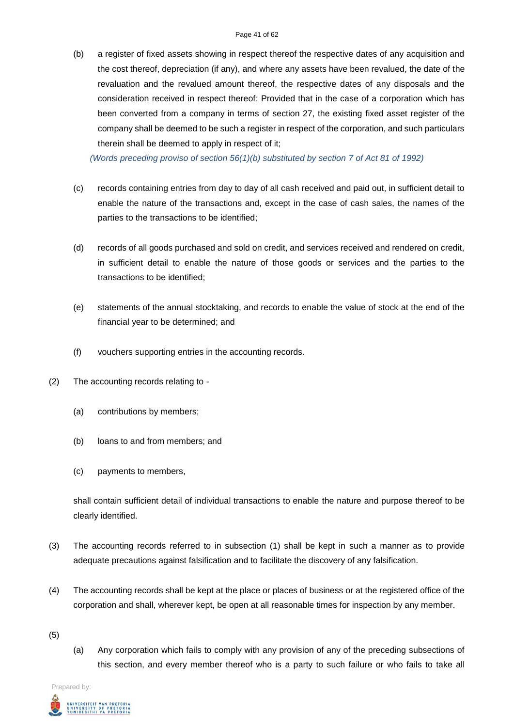(b) a register of fixed assets showing in respect thereof the respective dates of any acquisition and the cost thereof, depreciation (if any), and where any assets have been revalued, the date of the revaluation and the revalued amount thereof, the respective dates of any disposals and the consideration received in respect thereof: Provided that in the case of a corporation which has been converted from a company in terms of section 27, the existing fixed asset register of the company shall be deemed to be such a register in respect of the corporation, and such particulars therein shall be deemed to apply in respect of it;

*(Words preceding proviso of section 56(1)(b) substituted by section 7 of Act 81 of 1992)*

- (c) records containing entries from day to day of all cash received and paid out, in sufficient detail to enable the nature of the transactions and, except in the case of cash sales, the names of the parties to the transactions to be identified;
- (d) records of all goods purchased and sold on credit, and services received and rendered on credit, in sufficient detail to enable the nature of those goods or services and the parties to the transactions to be identified;
- (e) statements of the annual stocktaking, and records to enable the value of stock at the end of the financial year to be determined; and
- (f) vouchers supporting entries in the accounting records.
- (2) The accounting records relating to
	- (a) contributions by members;
	- (b) loans to and from members; and
	- (c) payments to members,

shall contain sufficient detail of individual transactions to enable the nature and purpose thereof to be clearly identified.

- (3) The accounting records referred to in subsection (1) shall be kept in such a manner as to provide adequate precautions against falsification and to facilitate the discovery of any falsification.
- (4) The accounting records shall be kept at the place or places of business or at the registered office of the corporation and shall, wherever kept, be open at all reasonable times for inspection by any member.
- (5)
- (a) Any corporation which fails to comply with any provision of any of the preceding subsections of this section, and every member thereof who is a party to such failure or who fails to take all

Prepared by:

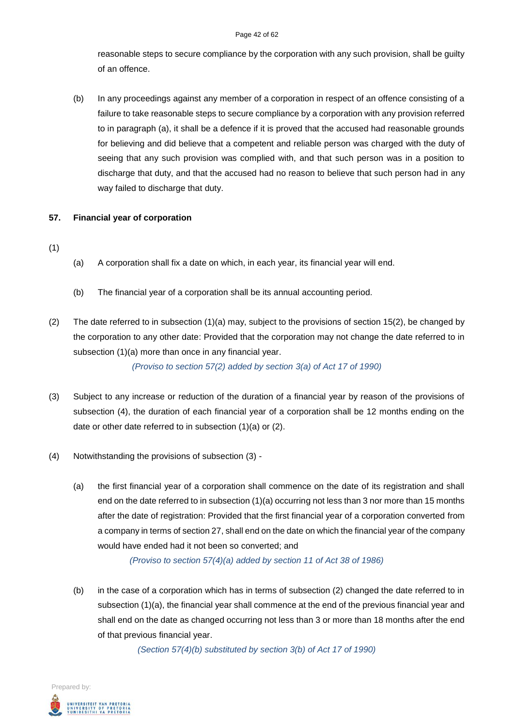#### Page 42 of 62

reasonable steps to secure compliance by the corporation with any such provision, shall be guilty of an offence.

(b) In any proceedings against any member of a corporation in respect of an offence consisting of a failure to take reasonable steps to secure compliance by a corporation with any provision referred to in paragraph (a), it shall be a defence if it is proved that the accused had reasonable grounds for believing and did believe that a competent and reliable person was charged with the duty of seeing that any such provision was complied with, and that such person was in a position to discharge that duty, and that the accused had no reason to believe that such person had in any way failed to discharge that duty.

## **57. Financial year of corporation**

- (1)
- (a) A corporation shall fix a date on which, in each year, its financial year will end.
- (b) The financial year of a corporation shall be its annual accounting period.
- (2) The date referred to in subsection (1)(a) may, subject to the provisions of section 15(2), be changed by the corporation to any other date: Provided that the corporation may not change the date referred to in subsection (1)(a) more than once in any financial year.

*(Proviso to section 57(2) added by section 3(a) of Act 17 of 1990)*

- (3) Subject to any increase or reduction of the duration of a financial year by reason of the provisions of subsection (4), the duration of each financial year of a corporation shall be 12 months ending on the date or other date referred to in subsection (1)(a) or (2).
- (4) Notwithstanding the provisions of subsection (3)
	- (a) the first financial year of a corporation shall commence on the date of its registration and shall end on the date referred to in subsection (1)(a) occurring not less than 3 nor more than 15 months after the date of registration: Provided that the first financial year of a corporation converted from a company in terms of section 27, shall end on the date on which the financial year of the company would have ended had it not been so converted; and

*(Proviso to section 57(4)(a) added by section 11 of Act 38 of 1986)*

(b) in the case of a corporation which has in terms of subsection (2) changed the date referred to in subsection (1)(a), the financial year shall commence at the end of the previous financial year and shall end on the date as changed occurring not less than 3 or more than 18 months after the end of that previous financial year.

*(Section 57(4)(b) substituted by section 3(b) of Act 17 of 1990)*

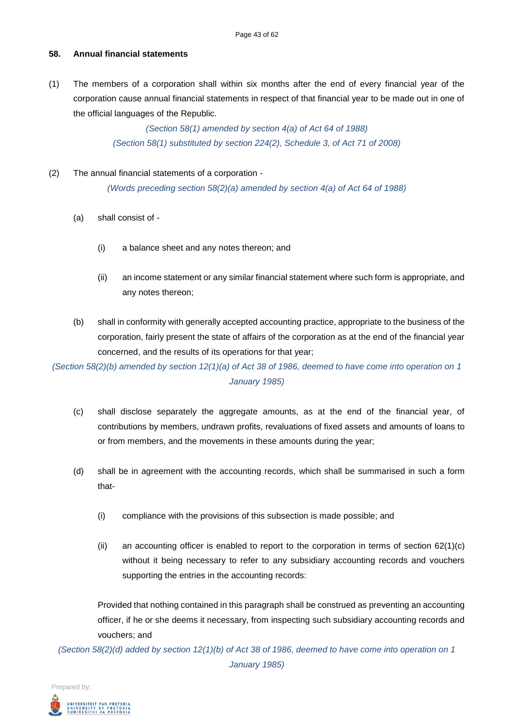## **58. Annual financial statements**

(1) The members of a corporation shall within six months after the end of every financial year of the corporation cause annual financial statements in respect of that financial year to be made out in one of the official languages of the Republic.

> *(Section 58(1) amended by section 4(a) of Act 64 of 1988) (Section 58(1) substituted by section 224(2), Schedule 3, of Act 71 of 2008)*

#### (2) The annual financial statements of a corporation -

*(Words preceding section 58(2)(a) amended by section 4(a) of Act 64 of 1988)*

- (a) shall consist of
	- (i) a balance sheet and any notes thereon; and
	- (ii) an income statement or any similar financial statement where such form is appropriate, and any notes thereon;
- (b) shall in conformity with generally accepted accounting practice, appropriate to the business of the corporation, fairly present the state of affairs of the corporation as at the end of the financial year concerned, and the results of its operations for that year;

*(Section 58(2)(b) amended by section 12(1)(a) of Act 38 of 1986, deemed to have come into operation on 1 January 1985)*

- (c) shall disclose separately the aggregate amounts, as at the end of the financial year, of contributions by members, undrawn profits, revaluations of fixed assets and amounts of loans to or from members, and the movements in these amounts during the year;
- (d) shall be in agreement with the accounting records, which shall be summarised in such a form that-
	- (i) compliance with the provisions of this subsection is made possible; and
	- (ii) an accounting officer is enabled to report to the corporation in terms of section  $62(1)(c)$ without it being necessary to refer to any subsidiary accounting records and vouchers supporting the entries in the accounting records:

Provided that nothing contained in this paragraph shall be construed as preventing an accounting officer, if he or she deems it necessary, from inspecting such subsidiary accounting records and vouchers; and

*(Section 58(2)(d) added by section 12(1)(b) of Act 38 of 1986, deemed to have come into operation on 1 January 1985)*

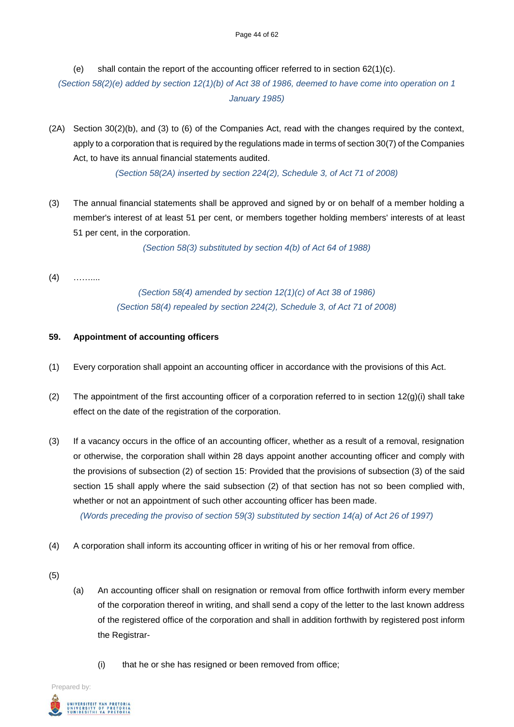(e) shall contain the report of the accounting officer referred to in section  $62(1)(c)$ .

*(Section 58(2)(e) added by section 12(1)(b) of Act 38 of 1986, deemed to have come into operation on 1 January 1985)*

(2A) Section 30(2)(b), and (3) to (6) of the Companies Act, read with the changes required by the context, apply to a corporation that is required by the regulations made in terms of section 30(7) of the Companies Act, to have its annual financial statements audited.

*(Section 58(2A) inserted by section 224(2), Schedule 3, of Act 71 of 2008)*

(3) The annual financial statements shall be approved and signed by or on behalf of a member holding a member's interest of at least 51 per cent, or members together holding members' interests of at least 51 per cent, in the corporation.

*(Section 58(3) substituted by section 4(b) of Act 64 of 1988)*

 $(4)$  ……

*(Section 58(4) amended by section 12(1)(c) of Act 38 of 1986) (Section 58(4) repealed by section 224(2), Schedule 3, of Act 71 of 2008)*

## **59. Appointment of accounting officers**

- (1) Every corporation shall appoint an accounting officer in accordance with the provisions of this Act.
- (2) The appointment of the first accounting officer of a corporation referred to in section  $12(q)(i)$  shall take effect on the date of the registration of the corporation.
- (3) If a vacancy occurs in the office of an accounting officer, whether as a result of a removal, resignation or otherwise, the corporation shall within 28 days appoint another accounting officer and comply with the provisions of subsection (2) of section 15: Provided that the provisions of subsection (3) of the said section 15 shall apply where the said subsection (2) of that section has not so been complied with, whether or not an appointment of such other accounting officer has been made. *(Words preceding the proviso of section 59(3) substituted by section 14(a) of Act 26 of 1997)*
- (4) A corporation shall inform its accounting officer in writing of his or her removal from office.
- (5)
- (a) An accounting officer shall on resignation or removal from office forthwith inform every member of the corporation thereof in writing, and shall send a copy of the letter to the last known address of the registered office of the corporation and shall in addition forthwith by registered post inform the Registrar-
	- (i) that he or she has resigned or been removed from office;

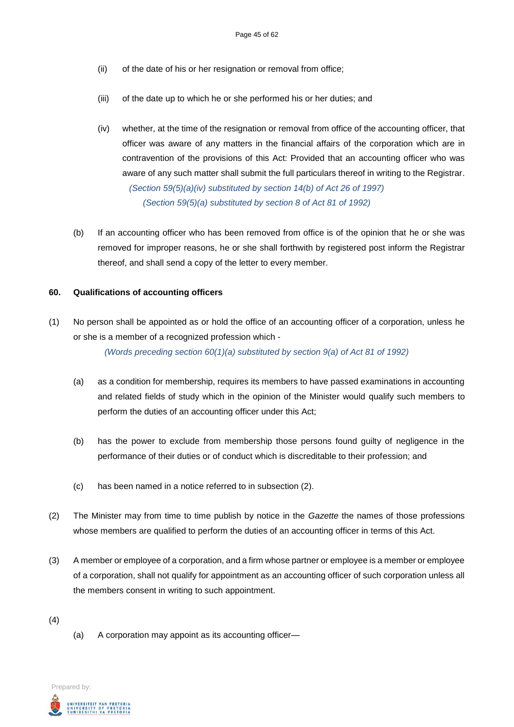- (ii) of the date of his or her resignation or removal from office;
- (iii) of the date up to which he or she performed his or her duties; and
- (iv) whether, at the time of the resignation or removal from office of the accounting officer, that officer was aware of any matters in the financial affairs of the corporation which are in contravention of the provisions of this Act: Provided that an accounting officer who was aware of any such matter shall submit the full particulars thereof in writing to the Registrar. *(Section 59(5)(a)(iv) substituted by section 14(b) of Act 26 of 1997)*

*(Section 59(5)(a) substituted by section 8 of Act 81 of 1992)*

(b) If an accounting officer who has been removed from office is of the opinion that he or she was removed for improper reasons, he or she shall forthwith by registered post inform the Registrar thereof, and shall send a copy of the letter to every member.

#### **60. Qualifications of accounting officers**

(1) No person shall be appointed as or hold the office of an accounting officer of a corporation, unless he or she is a member of a recognized profession which -

*(Words preceding section 60(1)(a) substituted by section 9(a) of Act 81 of 1992)*

- (a) as a condition for membership, requires its members to have passed examinations in accounting and related fields of study which in the opinion of the Minister would qualify such members to perform the duties of an accounting officer under this Act;
- (b) has the power to exclude from membership those persons found guilty of negligence in the performance of their duties or of conduct which is discreditable to their profession; and
- (c) has been named in a notice referred to in subsection (2).
- (2) The Minister may from time to time publish by notice in the *Gazette* the names of those professions whose members are qualified to perform the duties of an accounting officer in terms of this Act.
- (3) A member or employee of a corporation, and a firm whose partner or employee is a member or employee of a corporation, shall not qualify for appointment as an accounting officer of such corporation unless all the members consent in writing to such appointment.
- (4)
- (a) A corporation may appoint as its accounting officer—

Prepared by: .<br>UNIVERSITEIT VAN PRETORIA<br>YUNIBESITHI YA PRETORIA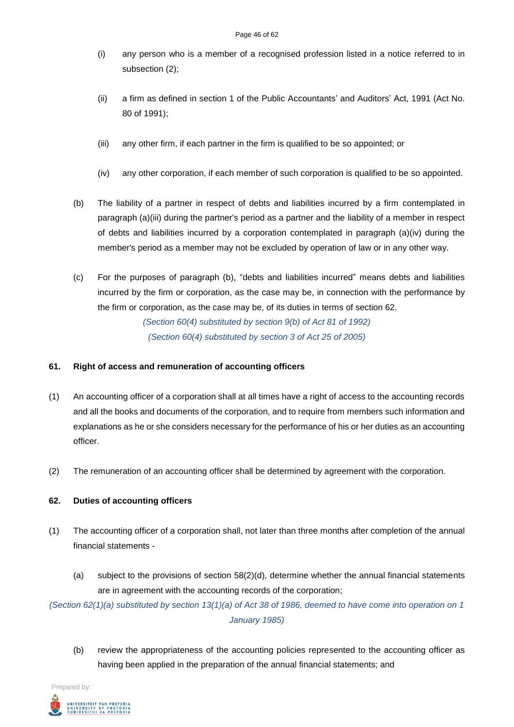- (i) any person who is a member of a recognised profession listed in a notice referred to in subsection (2);
- (ii) a firm as defined in section 1 of the Public Accountants' and Auditors' Act, 1991 (Act No. 80 of 1991);
- (iii) any other firm, if each partner in the firm is qualified to be so appointed; or
- (iv) any other corporation, if each member of such corporation is qualified to be so appointed.
- (b) The liability of a partner in respect of debts and liabilities incurred by a firm contemplated in paragraph (a)(iii) during the partner's period as a partner and the liability of a member in respect of debts and liabilities incurred by a corporation contemplated in paragraph (a)(iv) during the member's period as a member may not be excluded by operation of law or in any other way.
- (c) For the purposes of paragraph (b), "debts and liabilities incurred" means debts and liabilities incurred by the firm or corporation, as the case may be, in connection with the performance by the firm or corporation, as the case may be, of its duties in terms of section 62. *(Section 60(4) substituted by section 9(b) of Act 81 of 1992)*

*(Section 60(4) substituted by section 3 of Act 25 of 2005)*

## **61. Right of access and remuneration of accounting officers**

- (1) An accounting officer of a corporation shall at all times have a right of access to the accounting records and all the books and documents of the corporation, and to require from members such information and explanations as he or she considers necessary for the performance of his or her duties as an accounting officer.
- (2) The remuneration of an accounting officer shall be determined by agreement with the corporation.

## **62. Duties of accounting officers**

- (1) The accounting officer of a corporation shall, not later than three months after completion of the annual financial statements -
	- (a) subject to the provisions of section 58(2)(d), determine whether the annual financial statements are in agreement with the accounting records of the corporation;

*(Section 62(1)(a) substituted by section 13(1)(a) of Act 38 of 1986, deemed to have come into operation on 1 January 1985)*

(b) review the appropriateness of the accounting policies represented to the accounting officer as having been applied in the preparation of the annual financial statements; and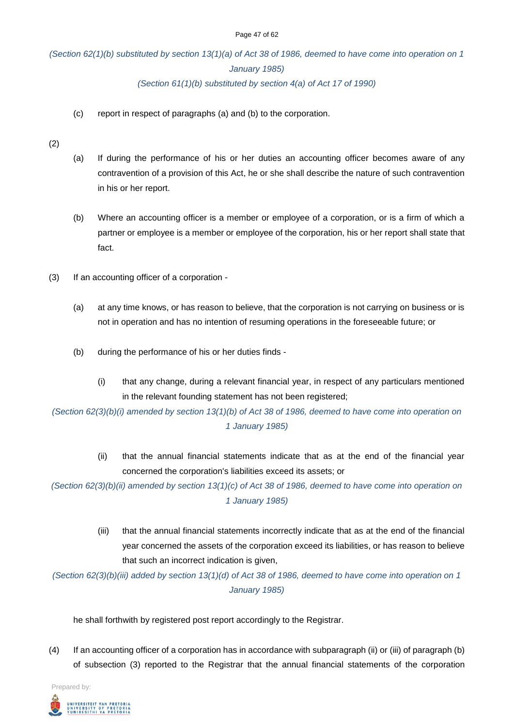# *(Section 62(1)(b) substituted by section 13(1)(a) of Act 38 of 1986, deemed to have come into operation on 1 January 1985) (Section 61(1)(b) substituted by section 4(a) of Act 17 of 1990)*

- 
- (c) report in respect of paragraphs (a) and (b) to the corporation.

(2)

- (a) If during the performance of his or her duties an accounting officer becomes aware of any contravention of a provision of this Act, he or she shall describe the nature of such contravention in his or her report.
- (b) Where an accounting officer is a member or employee of a corporation, or is a firm of which a partner or employee is a member or employee of the corporation, his or her report shall state that fact.
- (3) If an accounting officer of a corporation
	- (a) at any time knows, or has reason to believe, that the corporation is not carrying on business or is not in operation and has no intention of resuming operations in the foreseeable future; or
	- (b) during the performance of his or her duties finds
		- (i) that any change, during a relevant financial year, in respect of any particulars mentioned in the relevant founding statement has not been registered;

*(Section 62(3)(b)(i) amended by section 13(1)(b) of Act 38 of 1986, deemed to have come into operation on 1 January 1985)*

> (ii) that the annual financial statements indicate that as at the end of the financial year concerned the corporation's liabilities exceed its assets; or

*(Section 62(3)(b)(ii) amended by section 13(1)(c) of Act 38 of 1986, deemed to have come into operation on 1 January 1985)*

> (iii) that the annual financial statements incorrectly indicate that as at the end of the financial year concerned the assets of the corporation exceed its liabilities, or has reason to believe that such an incorrect indication is given,

*(Section 62(3)(b)(iii) added by section 13(1)(d) of Act 38 of 1986, deemed to have come into operation on 1 January 1985)*

he shall forthwith by registered post report accordingly to the Registrar.

(4) If an accounting officer of a corporation has in accordance with subparagraph (ii) or (iii) of paragraph (b) of subsection (3) reported to the Registrar that the annual financial statements of the corporation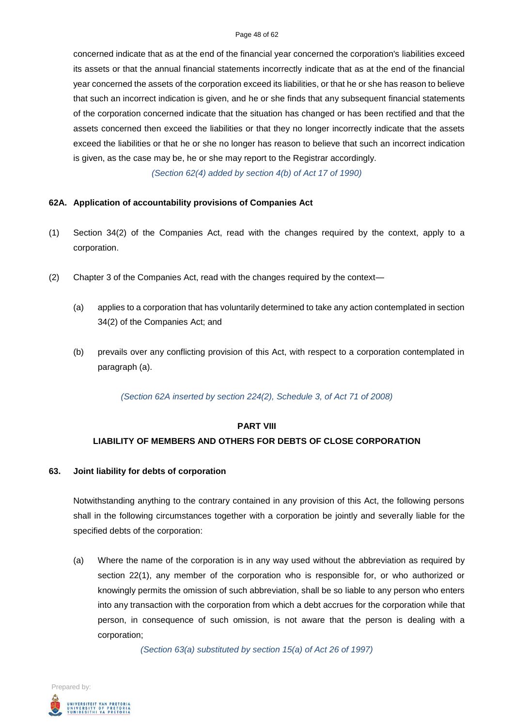#### Page 48 of 62

concerned indicate that as at the end of the financial year concerned the corporation's liabilities exceed its assets or that the annual financial statements incorrectly indicate that as at the end of the financial year concerned the assets of the corporation exceed its liabilities, or that he or she has reason to believe that such an incorrect indication is given, and he or she finds that any subsequent financial statements of the corporation concerned indicate that the situation has changed or has been rectified and that the assets concerned then exceed the liabilities or that they no longer incorrectly indicate that the assets exceed the liabilities or that he or she no longer has reason to believe that such an incorrect indication is given, as the case may be, he or she may report to the Registrar accordingly.

*(Section 62(4) added by section 4(b) of Act 17 of 1990)*

#### **62A. Application of accountability provisions of Companies Act**

- (1) Section 34(2) of the Companies Act, read with the changes required by the context, apply to a corporation.
- (2) Chapter 3 of the Companies Act, read with the changes required by the context—
	- (a) applies to a corporation that has voluntarily determined to take any action contemplated in section 34(2) of the Companies Act; and
	- (b) prevails over any conflicting provision of this Act, with respect to a corporation contemplated in paragraph (a).

*(Section 62A inserted by section 224(2), Schedule 3, of Act 71 of 2008)*

#### **PART VIII**

## **LIABILITY OF MEMBERS AND OTHERS FOR DEBTS OF CLOSE CORPORATION**

#### **63. Joint liability for debts of corporation**

Notwithstanding anything to the contrary contained in any provision of this Act, the following persons shall in the following circumstances together with a corporation be jointly and severally liable for the specified debts of the corporation:

(a) Where the name of the corporation is in any way used without the abbreviation as required by section 22(1), any member of the corporation who is responsible for, or who authorized or knowingly permits the omission of such abbreviation, shall be so liable to any person who enters into any transaction with the corporation from which a debt accrues for the corporation while that person, in consequence of such omission, is not aware that the person is dealing with a corporation;

*(Section 63(a) substituted by section 15(a) of Act 26 of 1997)*

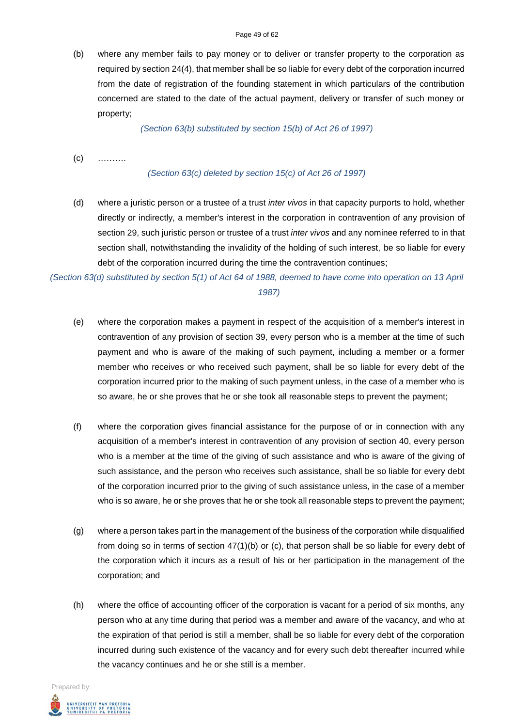(b) where any member fails to pay money or to deliver or transfer property to the corporation as required by section 24(4), that member shall be so liable for every debt of the corporation incurred from the date of registration of the founding statement in which particulars of the contribution concerned are stated to the date of the actual payment, delivery or transfer of such money or property;

*(Section 63(b) substituted by section 15(b) of Act 26 of 1997)*

(c) ……….

#### *(Section 63(c) deleted by section 15(c) of Act 26 of 1997)*

(d) where a juristic person or a trustee of a trust *inter vivos* in that capacity purports to hold, whether directly or indirectly, a member's interest in the corporation in contravention of any provision of section 29, such juristic person or trustee of a trust *inter vivos* and any nominee referred to in that section shall, notwithstanding the invalidity of the holding of such interest, be so liable for every debt of the corporation incurred during the time the contravention continues;

*(Section 63(d) substituted by section 5(1) of Act 64 of 1988, deemed to have come into operation on 13 April 1987)*

- (e) where the corporation makes a payment in respect of the acquisition of a member's interest in contravention of any provision of section 39, every person who is a member at the time of such payment and who is aware of the making of such payment, including a member or a former member who receives or who received such payment, shall be so liable for every debt of the corporation incurred prior to the making of such payment unless, in the case of a member who is so aware, he or she proves that he or she took all reasonable steps to prevent the payment;
- (f) where the corporation gives financial assistance for the purpose of or in connection with any acquisition of a member's interest in contravention of any provision of section 40, every person who is a member at the time of the giving of such assistance and who is aware of the giving of such assistance, and the person who receives such assistance, shall be so liable for every debt of the corporation incurred prior to the giving of such assistance unless, in the case of a member who is so aware, he or she proves that he or she took all reasonable steps to prevent the payment;
- (g) where a person takes part in the management of the business of the corporation while disqualified from doing so in terms of section  $47(1)(b)$  or (c), that person shall be so liable for every debt of the corporation which it incurs as a result of his or her participation in the management of the corporation; and
- (h) where the office of accounting officer of the corporation is vacant for a period of six months, any person who at any time during that period was a member and aware of the vacancy, and who at the expiration of that period is still a member, shall be so liable for every debt of the corporation incurred during such existence of the vacancy and for every such debt thereafter incurred while the vacancy continues and he or she still is a member.

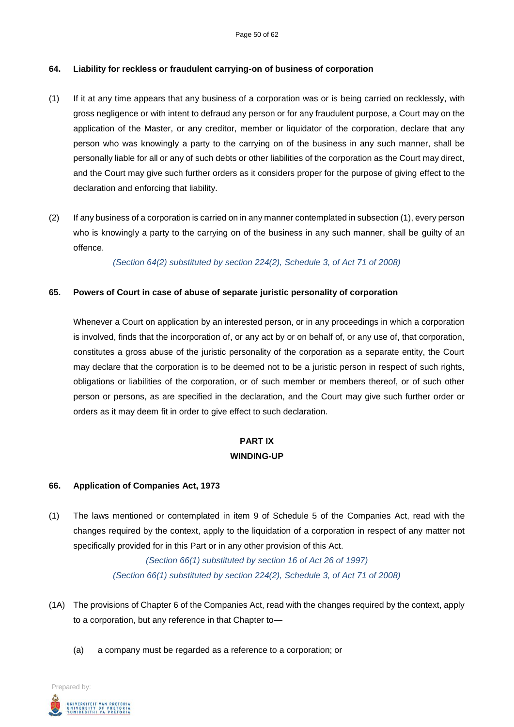#### **64. Liability for reckless or fraudulent carrying-on of business of corporation**

- (1) If it at any time appears that any business of a corporation was or is being carried on recklessly, with gross negligence or with intent to defraud any person or for any fraudulent purpose, a Court may on the application of the Master, or any creditor, member or liquidator of the corporation, declare that any person who was knowingly a party to the carrying on of the business in any such manner, shall be personally liable for all or any of such debts or other liabilities of the corporation as the Court may direct, and the Court may give such further orders as it considers proper for the purpose of giving effect to the declaration and enforcing that liability.
- (2) If any business of a corporation is carried on in any manner contemplated in subsection (1), every person who is knowingly a party to the carrying on of the business in any such manner, shall be guilty of an offence.

*(Section 64(2) substituted by section 224(2), Schedule 3, of Act 71 of 2008)*

#### **65. Powers of Court in case of abuse of separate juristic personality of corporation**

Whenever a Court on application by an interested person, or in any proceedings in which a corporation is involved, finds that the incorporation of, or any act by or on behalf of, or any use of, that corporation, constitutes a gross abuse of the juristic personality of the corporation as a separate entity, the Court may declare that the corporation is to be deemed not to be a juristic person in respect of such rights, obligations or liabilities of the corporation, or of such member or members thereof, or of such other person or persons, as are specified in the declaration, and the Court may give such further order or orders as it may deem fit in order to give effect to such declaration.

# **PART IX WINDING-UP**

#### **66. Application of Companies Act, 1973**

(1) The laws mentioned or contemplated in item 9 of Schedule 5 of the Companies Act, read with the changes required by the context, apply to the liquidation of a corporation in respect of any matter not specifically provided for in this Part or in any other provision of this Act.

> *(Section 66(1) substituted by section 16 of Act 26 of 1997) (Section 66(1) substituted by section 224(2), Schedule 3, of Act 71 of 2008)*

- (1A) The provisions of Chapter 6 of the Companies Act, read with the changes required by the context, apply to a corporation, but any reference in that Chapter to—
	- (a) a company must be regarded as a reference to a corporation; or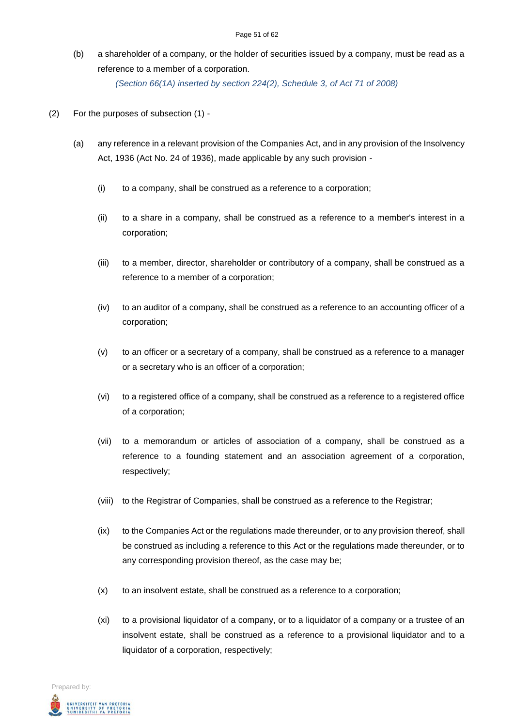(b) a shareholder of a company, or the holder of securities issued by a company, must be read as a reference to a member of a corporation.

*(Section 66(1A) inserted by section 224(2), Schedule 3, of Act 71 of 2008)*

- (2) For the purposes of subsection (1)
	- (a) any reference in a relevant provision of the Companies Act, and in any provision of the Insolvency Act, 1936 (Act No. 24 of 1936), made applicable by any such provision -
		- (i) to a company, shall be construed as a reference to a corporation;
		- (ii) to a share in a company, shall be construed as a reference to a member's interest in a corporation;
		- (iii) to a member, director, shareholder or contributory of a company, shall be construed as a reference to a member of a corporation;
		- (iv) to an auditor of a company, shall be construed as a reference to an accounting officer of a corporation;
		- (v) to an officer or a secretary of a company, shall be construed as a reference to a manager or a secretary who is an officer of a corporation;
		- (vi) to a registered office of a company, shall be construed as a reference to a registered office of a corporation;
		- (vii) to a memorandum or articles of association of a company, shall be construed as a reference to a founding statement and an association agreement of a corporation, respectively;
		- (viii) to the Registrar of Companies, shall be construed as a reference to the Registrar;
		- (ix) to the Companies Act or the regulations made thereunder, or to any provision thereof, shall be construed as including a reference to this Act or the regulations made thereunder, or to any corresponding provision thereof, as the case may be;
		- (x) to an insolvent estate, shall be construed as a reference to a corporation;
		- (xi) to a provisional liquidator of a company, or to a liquidator of a company or a trustee of an insolvent estate, shall be construed as a reference to a provisional liquidator and to a liquidator of a corporation, respectively;

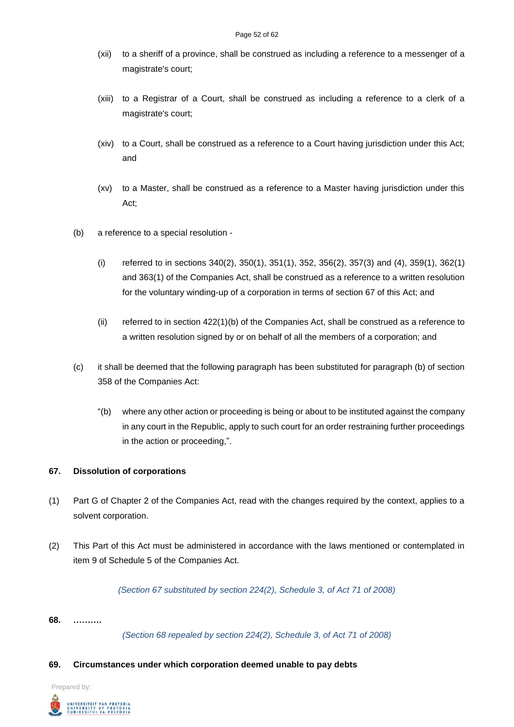- (xii) to a sheriff of a province, shall be construed as including a reference to a messenger of a magistrate's court;
- (xiii) to a Registrar of a Court, shall be construed as including a reference to a clerk of a magistrate's court;
- (xiv) to a Court, shall be construed as a reference to a Court having jurisdiction under this Act; and
- (xv) to a Master, shall be construed as a reference to a Master having jurisdiction under this Act;
- (b) a reference to a special resolution
	- (i) referred to in sections 340(2), 350(1), 351(1), 352, 356(2), 357(3) and (4), 359(1), 362(1) and 363(1) of the Companies Act, shall be construed as a reference to a written resolution for the voluntary winding-up of a corporation in terms of section 67 of this Act; and
	- (ii) referred to in section 422(1)(b) of the Companies Act, shall be construed as a reference to a written resolution signed by or on behalf of all the members of a corporation; and
- (c) it shall be deemed that the following paragraph has been substituted for paragraph (b) of section 358 of the Companies Act:
	- "(b) where any other action or proceeding is being or about to be instituted against the company in any court in the Republic, apply to such court for an order restraining further proceedings in the action or proceeding,".

#### **67. Dissolution of corporations**

- (1) Part G of Chapter 2 of the Companies Act, read with the changes required by the context, applies to a solvent corporation.
- (2) This Part of this Act must be administered in accordance with the laws mentioned or contemplated in item 9 of Schedule 5 of the Companies Act.

*(Section 67 substituted by section 224(2), Schedule 3, of Act 71 of 2008)*

#### **68. ……….**

*(Section 68 repealed by section 224(2), Schedule 3, of Act 71 of 2008)*

#### **69. Circumstances under which corporation deemed unable to pay debts**

Prepared by:

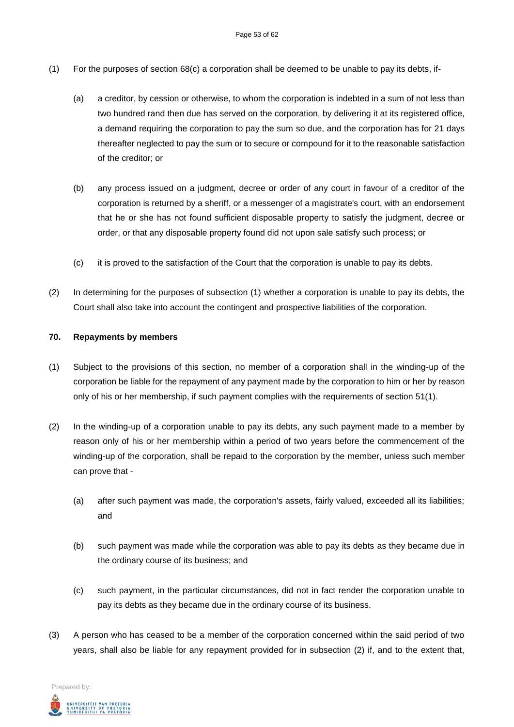- (1) For the purposes of section 68(c) a corporation shall be deemed to be unable to pay its debts, if-
	- (a) a creditor, by cession or otherwise, to whom the corporation is indebted in a sum of not less than two hundred rand then due has served on the corporation, by delivering it at its registered office, a demand requiring the corporation to pay the sum so due, and the corporation has for 21 days thereafter neglected to pay the sum or to secure or compound for it to the reasonable satisfaction of the creditor; or
	- (b) any process issued on a judgment, decree or order of any court in favour of a creditor of the corporation is returned by a sheriff, or a messenger of a magistrate's court, with an endorsement that he or she has not found sufficient disposable property to satisfy the judgment, decree or order, or that any disposable property found did not upon sale satisfy such process; or
	- (c) it is proved to the satisfaction of the Court that the corporation is unable to pay its debts.
- (2) In determining for the purposes of subsection (1) whether a corporation is unable to pay its debts, the Court shall also take into account the contingent and prospective liabilities of the corporation.

#### **70. Repayments by members**

- (1) Subject to the provisions of this section, no member of a corporation shall in the winding-up of the corporation be liable for the repayment of any payment made by the corporation to him or her by reason only of his or her membership, if such payment complies with the requirements of section 51(1).
- (2) In the winding-up of a corporation unable to pay its debts, any such payment made to a member by reason only of his or her membership within a period of two years before the commencement of the winding-up of the corporation, shall be repaid to the corporation by the member, unless such member can prove that -
	- (a) after such payment was made, the corporation's assets, fairly valued, exceeded all its liabilities; and
	- (b) such payment was made while the corporation was able to pay its debts as they became due in the ordinary course of its business; and
	- (c) such payment, in the particular circumstances, did not in fact render the corporation unable to pay its debts as they became due in the ordinary course of its business.
- (3) A person who has ceased to be a member of the corporation concerned within the said period of two years, shall also be liable for any repayment provided for in subsection (2) if, and to the extent that,

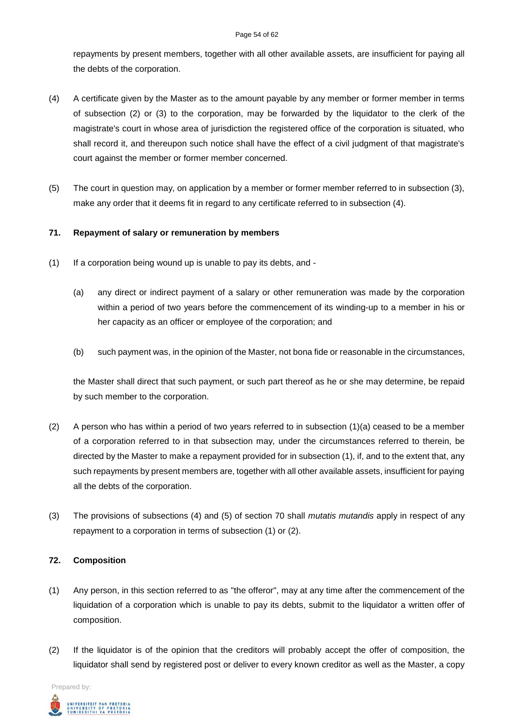repayments by present members, together with all other available assets, are insufficient for paying all the debts of the corporation.

- (4) A certificate given by the Master as to the amount payable by any member or former member in terms of subsection (2) or (3) to the corporation, may be forwarded by the liquidator to the clerk of the magistrate's court in whose area of jurisdiction the registered office of the corporation is situated, who shall record it, and thereupon such notice shall have the effect of a civil judgment of that magistrate's court against the member or former member concerned.
- (5) The court in question may, on application by a member or former member referred to in subsection (3), make any order that it deems fit in regard to any certificate referred to in subsection (4).

## **71. Repayment of salary or remuneration by members**

- (1) If a corporation being wound up is unable to pay its debts, and
	- (a) any direct or indirect payment of a salary or other remuneration was made by the corporation within a period of two years before the commencement of its winding-up to a member in his or her capacity as an officer or employee of the corporation; and
	- (b) such payment was, in the opinion of the Master, not bona fide or reasonable in the circumstances,

the Master shall direct that such payment, or such part thereof as he or she may determine, be repaid by such member to the corporation.

- (2) A person who has within a period of two years referred to in subsection  $(1)(a)$  ceased to be a member of a corporation referred to in that subsection may, under the circumstances referred to therein, be directed by the Master to make a repayment provided for in subsection (1), if, and to the extent that, any such repayments by present members are, together with all other available assets, insufficient for paying all the debts of the corporation.
- (3) The provisions of subsections (4) and (5) of section 70 shall *mutatis mutandis* apply in respect of any repayment to a corporation in terms of subsection (1) or (2).

#### **72. Composition**

- (1) Any person, in this section referred to as "the offeror", may at any time after the commencement of the liquidation of a corporation which is unable to pay its debts, submit to the liquidator a written offer of composition.
- (2) If the liquidator is of the opinion that the creditors will probably accept the offer of composition, the liquidator shall send by registered post or deliver to every known creditor as well as the Master, a copy

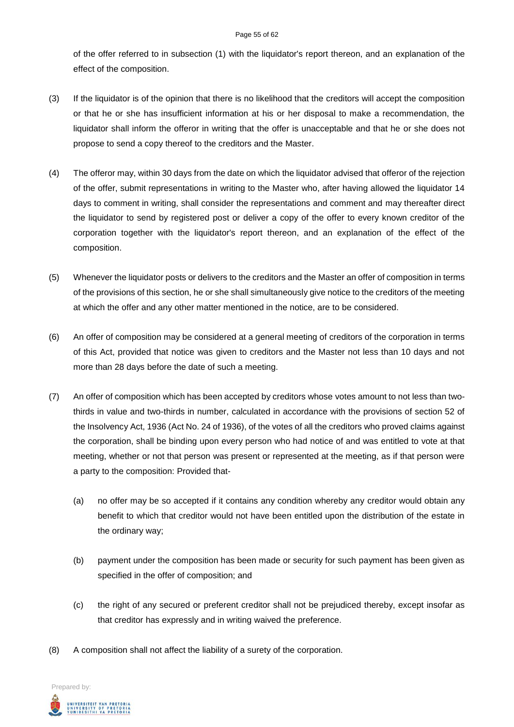#### Page 55 of 62

of the offer referred to in subsection (1) with the liquidator's report thereon, and an explanation of the effect of the composition.

- (3) If the liquidator is of the opinion that there is no likelihood that the creditors will accept the composition or that he or she has insufficient information at his or her disposal to make a recommendation, the liquidator shall inform the offeror in writing that the offer is unacceptable and that he or she does not propose to send a copy thereof to the creditors and the Master.
- (4) The offeror may, within 30 days from the date on which the liquidator advised that offeror of the rejection of the offer, submit representations in writing to the Master who, after having allowed the liquidator 14 days to comment in writing, shall consider the representations and comment and may thereafter direct the liquidator to send by registered post or deliver a copy of the offer to every known creditor of the corporation together with the liquidator's report thereon, and an explanation of the effect of the composition.
- (5) Whenever the liquidator posts or delivers to the creditors and the Master an offer of composition in terms of the provisions of this section, he or she shall simultaneously give notice to the creditors of the meeting at which the offer and any other matter mentioned in the notice, are to be considered.
- (6) An offer of composition may be considered at a general meeting of creditors of the corporation in terms of this Act, provided that notice was given to creditors and the Master not less than 10 days and not more than 28 days before the date of such a meeting.
- (7) An offer of composition which has been accepted by creditors whose votes amount to not less than twothirds in value and two-thirds in number, calculated in accordance with the provisions of section 52 of the Insolvency Act, 1936 (Act No. 24 of 1936), of the votes of all the creditors who proved claims against the corporation, shall be binding upon every person who had notice of and was entitled to vote at that meeting, whether or not that person was present or represented at the meeting, as if that person were a party to the composition: Provided that-
	- (a) no offer may be so accepted if it contains any condition whereby any creditor would obtain any benefit to which that creditor would not have been entitled upon the distribution of the estate in the ordinary way;
	- (b) payment under the composition has been made or security for such payment has been given as specified in the offer of composition; and
	- (c) the right of any secured or preferent creditor shall not be prejudiced thereby, except insofar as that creditor has expressly and in writing waived the preference.
- (8) A composition shall not affect the liability of a surety of the corporation.

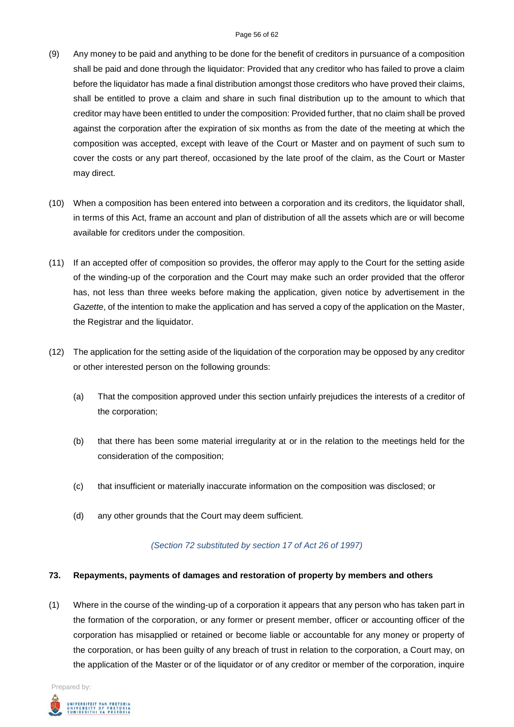- (9) Any money to be paid and anything to be done for the benefit of creditors in pursuance of a composition shall be paid and done through the liquidator: Provided that any creditor who has failed to prove a claim before the liquidator has made a final distribution amongst those creditors who have proved their claims, shall be entitled to prove a claim and share in such final distribution up to the amount to which that creditor may have been entitled to under the composition: Provided further, that no claim shall be proved against the corporation after the expiration of six months as from the date of the meeting at which the composition was accepted, except with leave of the Court or Master and on payment of such sum to cover the costs or any part thereof, occasioned by the late proof of the claim, as the Court or Master may direct.
- (10) When a composition has been entered into between a corporation and its creditors, the liquidator shall, in terms of this Act, frame an account and plan of distribution of all the assets which are or will become available for creditors under the composition.
- (11) If an accepted offer of composition so provides, the offeror may apply to the Court for the setting aside of the winding-up of the corporation and the Court may make such an order provided that the offeror has, not less than three weeks before making the application, given notice by advertisement in the *Gazette*, of the intention to make the application and has served a copy of the application on the Master, the Registrar and the liquidator.
- (12) The application for the setting aside of the liquidation of the corporation may be opposed by any creditor or other interested person on the following grounds:
	- (a) That the composition approved under this section unfairly prejudices the interests of a creditor of the corporation;
	- (b) that there has been some material irregularity at or in the relation to the meetings held for the consideration of the composition;
	- (c) that insufficient or materially inaccurate information on the composition was disclosed; or
	- (d) any other grounds that the Court may deem sufficient.

#### *(Section 72 substituted by section 17 of Act 26 of 1997)*

#### **73. Repayments, payments of damages and restoration of property by members and others**

(1) Where in the course of the winding-up of a corporation it appears that any person who has taken part in the formation of the corporation, or any former or present member, officer or accounting officer of the corporation has misapplied or retained or become liable or accountable for any money or property of the corporation, or has been guilty of any breach of trust in relation to the corporation, a Court may, on the application of the Master or of the liquidator or of any creditor or member of the corporation, inquire

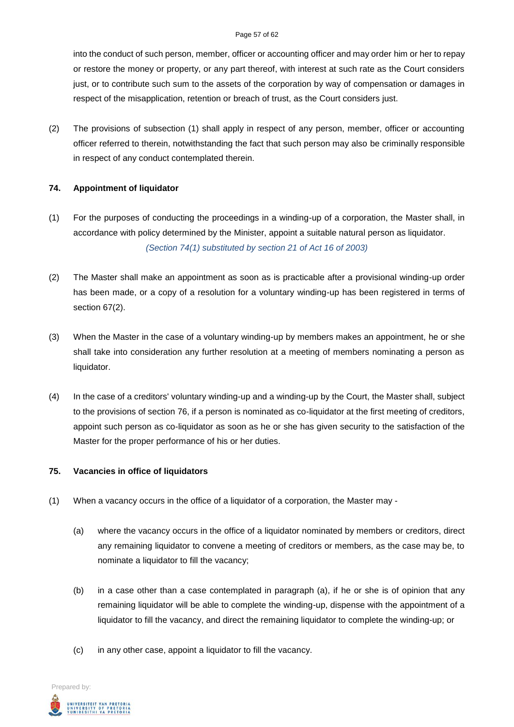#### Page 57 of 62

into the conduct of such person, member, officer or accounting officer and may order him or her to repay or restore the money or property, or any part thereof, with interest at such rate as the Court considers just, or to contribute such sum to the assets of the corporation by way of compensation or damages in respect of the misapplication, retention or breach of trust, as the Court considers just.

(2) The provisions of subsection (1) shall apply in respect of any person, member, officer or accounting officer referred to therein, notwithstanding the fact that such person may also be criminally responsible in respect of any conduct contemplated therein.

## **74. Appointment of liquidator**

- (1) For the purposes of conducting the proceedings in a winding-up of a corporation, the Master shall, in accordance with policy determined by the Minister, appoint a suitable natural person as liquidator. *(Section 74(1) substituted by section 21 of Act 16 of 2003)*
- (2) The Master shall make an appointment as soon as is practicable after a provisional winding-up order has been made, or a copy of a resolution for a voluntary winding-up has been registered in terms of section 67(2).
- (3) When the Master in the case of a voluntary winding-up by members makes an appointment, he or she shall take into consideration any further resolution at a meeting of members nominating a person as liquidator.
- (4) In the case of a creditors' voluntary winding-up and a winding-up by the Court, the Master shall, subject to the provisions of section 76, if a person is nominated as co-liquidator at the first meeting of creditors, appoint such person as co-liquidator as soon as he or she has given security to the satisfaction of the Master for the proper performance of his or her duties.

## **75. Vacancies in office of liquidators**

- (1) When a vacancy occurs in the office of a liquidator of a corporation, the Master may
	- (a) where the vacancy occurs in the office of a liquidator nominated by members or creditors, direct any remaining liquidator to convene a meeting of creditors or members, as the case may be, to nominate a liquidator to fill the vacancy;
	- (b) in a case other than a case contemplated in paragraph (a), if he or she is of opinion that any remaining liquidator will be able to complete the winding-up, dispense with the appointment of a liquidator to fill the vacancy, and direct the remaining liquidator to complete the winding-up; or
	- (c) in any other case, appoint a liquidator to fill the vacancy.

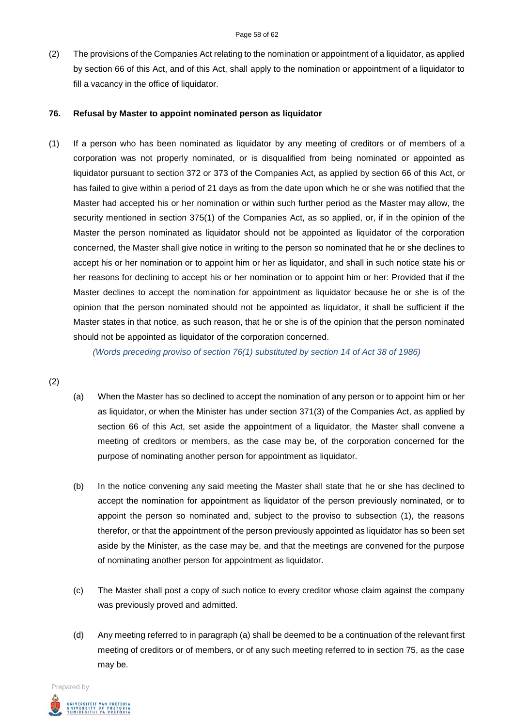(2) The provisions of the Companies Act relating to the nomination or appointment of a liquidator, as applied by section 66 of this Act, and of this Act, shall apply to the nomination or appointment of a liquidator to fill a vacancy in the office of liquidator.

#### **76. Refusal by Master to appoint nominated person as liquidator**

(1) If a person who has been nominated as liquidator by any meeting of creditors or of members of a corporation was not properly nominated, or is disqualified from being nominated or appointed as liquidator pursuant to section 372 or 373 of the Companies Act, as applied by section 66 of this Act, or has failed to give within a period of 21 days as from the date upon which he or she was notified that the Master had accepted his or her nomination or within such further period as the Master may allow, the security mentioned in section 375(1) of the Companies Act, as so applied, or, if in the opinion of the Master the person nominated as liquidator should not be appointed as liquidator of the corporation concerned, the Master shall give notice in writing to the person so nominated that he or she declines to accept his or her nomination or to appoint him or her as liquidator, and shall in such notice state his or her reasons for declining to accept his or her nomination or to appoint him or her: Provided that if the Master declines to accept the nomination for appointment as liquidator because he or she is of the opinion that the person nominated should not be appointed as liquidator, it shall be sufficient if the Master states in that notice, as such reason, that he or she is of the opinion that the person nominated should not be appointed as liquidator of the corporation concerned.

*(Words preceding proviso of section 76(1) substituted by section 14 of Act 38 of 1986)*

#### (2)

- (a) When the Master has so declined to accept the nomination of any person or to appoint him or her as liquidator, or when the Minister has under section 371(3) of the Companies Act, as applied by section 66 of this Act, set aside the appointment of a liquidator, the Master shall convene a meeting of creditors or members, as the case may be, of the corporation concerned for the purpose of nominating another person for appointment as liquidator.
- (b) In the notice convening any said meeting the Master shall state that he or she has declined to accept the nomination for appointment as liquidator of the person previously nominated, or to appoint the person so nominated and, subject to the proviso to subsection (1), the reasons therefor, or that the appointment of the person previously appointed as liquidator has so been set aside by the Minister, as the case may be, and that the meetings are convened for the purpose of nominating another person for appointment as liquidator.
- (c) The Master shall post a copy of such notice to every creditor whose claim against the company was previously proved and admitted.
- (d) Any meeting referred to in paragraph (a) shall be deemed to be a continuation of the relevant first meeting of creditors or of members, or of any such meeting referred to in section 75, as the case may be.

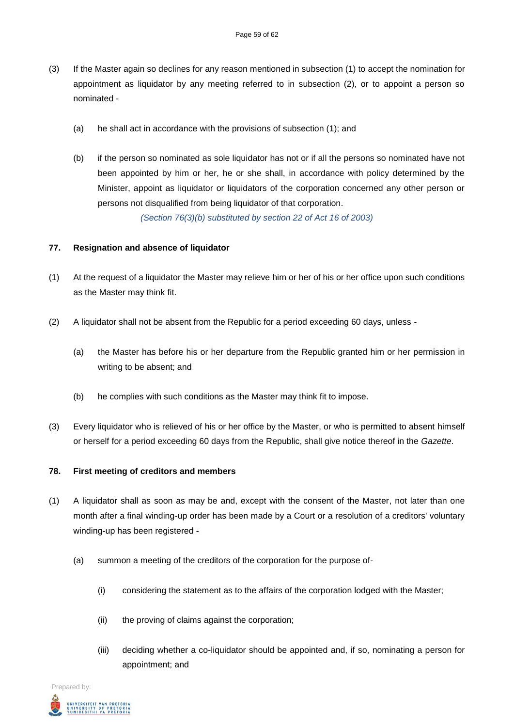- (3) If the Master again so declines for any reason mentioned in subsection (1) to accept the nomination for appointment as liquidator by any meeting referred to in subsection (2), or to appoint a person so nominated -
	- (a) he shall act in accordance with the provisions of subsection (1); and
	- (b) if the person so nominated as sole liquidator has not or if all the persons so nominated have not been appointed by him or her, he or she shall, in accordance with policy determined by the Minister, appoint as liquidator or liquidators of the corporation concerned any other person or persons not disqualified from being liquidator of that corporation.

*(Section 76(3)(b) substituted by section 22 of Act 16 of 2003)*

## **77. Resignation and absence of liquidator**

- (1) At the request of a liquidator the Master may relieve him or her of his or her office upon such conditions as the Master may think fit.
- (2) A liquidator shall not be absent from the Republic for a period exceeding 60 days, unless
	- (a) the Master has before his or her departure from the Republic granted him or her permission in writing to be absent; and
	- (b) he complies with such conditions as the Master may think fit to impose.
- (3) Every liquidator who is relieved of his or her office by the Master, or who is permitted to absent himself or herself for a period exceeding 60 days from the Republic, shall give notice thereof in the *Gazette*.

#### **78. First meeting of creditors and members**

- (1) A liquidator shall as soon as may be and, except with the consent of the Master, not later than one month after a final winding-up order has been made by a Court or a resolution of a creditors' voluntary winding-up has been registered -
	- (a) summon a meeting of the creditors of the corporation for the purpose of-
		- (i) considering the statement as to the affairs of the corporation lodged with the Master;
		- (ii) the proving of claims against the corporation;
		- (iii) deciding whether a co-liquidator should be appointed and, if so, nominating a person for appointment; and

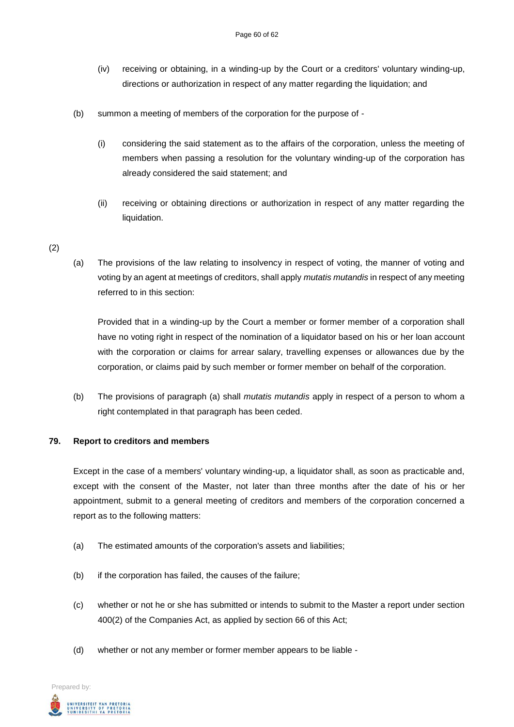- (iv) receiving or obtaining, in a winding-up by the Court or a creditors' voluntary winding-up, directions or authorization in respect of any matter regarding the liquidation; and
- (b) summon a meeting of members of the corporation for the purpose of
	- (i) considering the said statement as to the affairs of the corporation, unless the meeting of members when passing a resolution for the voluntary winding-up of the corporation has already considered the said statement; and
	- (ii) receiving or obtaining directions or authorization in respect of any matter regarding the liquidation.

## (2)

(a) The provisions of the law relating to insolvency in respect of voting, the manner of voting and voting by an agent at meetings of creditors, shall apply *mutatis mutandis* in respect of any meeting referred to in this section:

Provided that in a winding-up by the Court a member or former member of a corporation shall have no voting right in respect of the nomination of a liquidator based on his or her loan account with the corporation or claims for arrear salary, travelling expenses or allowances due by the corporation, or claims paid by such member or former member on behalf of the corporation.

(b) The provisions of paragraph (a) shall *mutatis mutandis* apply in respect of a person to whom a right contemplated in that paragraph has been ceded.

#### **79. Report to creditors and members**

Except in the case of a members' voluntary winding-up, a liquidator shall, as soon as practicable and, except with the consent of the Master, not later than three months after the date of his or her appointment, submit to a general meeting of creditors and members of the corporation concerned a report as to the following matters:

- (a) The estimated amounts of the corporation's assets and liabilities;
- (b) if the corporation has failed, the causes of the failure;
- (c) whether or not he or she has submitted or intends to submit to the Master a report under section 400(2) of the Companies Act, as applied by section 66 of this Act;
- (d) whether or not any member or former member appears to be liable -

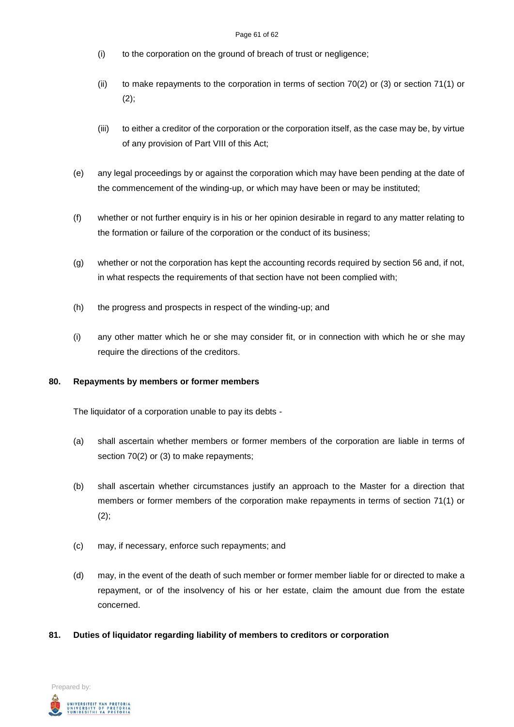- (i) to the corporation on the ground of breach of trust or negligence;
- (ii) to make repayments to the corporation in terms of section 70(2) or (3) or section 71(1) or  $(2);$
- (iii) to either a creditor of the corporation or the corporation itself, as the case may be, by virtue of any provision of Part VIII of this Act;
- (e) any legal proceedings by or against the corporation which may have been pending at the date of the commencement of the winding-up, or which may have been or may be instituted;
- (f) whether or not further enquiry is in his or her opinion desirable in regard to any matter relating to the formation or failure of the corporation or the conduct of its business;
- (g) whether or not the corporation has kept the accounting records required by section 56 and, if not, in what respects the requirements of that section have not been complied with;
- (h) the progress and prospects in respect of the winding-up; and
- (i) any other matter which he or she may consider fit, or in connection with which he or she may require the directions of the creditors.

#### **80. Repayments by members or former members**

The liquidator of a corporation unable to pay its debts -

- (a) shall ascertain whether members or former members of the corporation are liable in terms of section 70(2) or (3) to make repayments;
- (b) shall ascertain whether circumstances justify an approach to the Master for a direction that members or former members of the corporation make repayments in terms of section 71(1) or  $(2)$ :
- (c) may, if necessary, enforce such repayments; and
- (d) may, in the event of the death of such member or former member liable for or directed to make a repayment, or of the insolvency of his or her estate, claim the amount due from the estate concerned.
- **81. Duties of liquidator regarding liability of members to creditors or corporation**